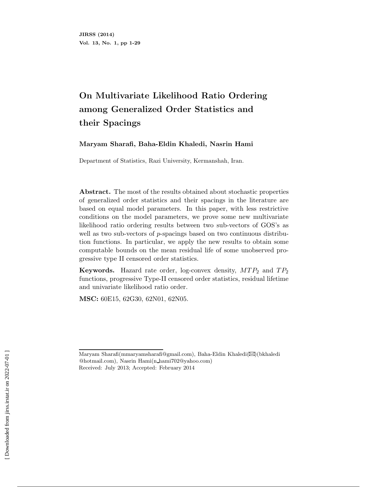# **On Multivariate Likelihood Ratio Ordering among Generalized Order Statistics and their Spacings**

**Maryam Sharafi, Baha-Eldin Khaledi, Nasrin Hami**

Department of Statistics, Razi University, Kermanshah, Iran.

**Abstract.** The most of the results obtained about stochastic properties of generalized order statistics and their spacings in the literature are based on equal model parameters. In this paper, with less restrictive conditions on the model parameters, we prove some new multivariate likelihood ratio ordering results between two sub-vectors of GOS's as well as two sub-vectors of  $p$ -spacings based on two continuous distribution functions. In particular, we apply the new results to obtain some computable bounds on the mean residual life of some unobserved progressive type II censored order statistics.

**Keywords.** Hazard rate order, log-convex density,  $MTP_2$  and  $TP_2$ functions, progressive Type-II censored order statistics, residual lifetime and univariate likelihood ratio order.

**MSC:** 60E15, 62G30, 62N01, 62N05.

Maryam Sharafi(mmaryamsharafi@gmail.com), Baha-Eldin Khaledi( $\boxtimes$ )(bkhaledi @hotmail.com), Nasrin Hami(n hami702@yahoo.com) Received: July 2013; Accepted: February 2014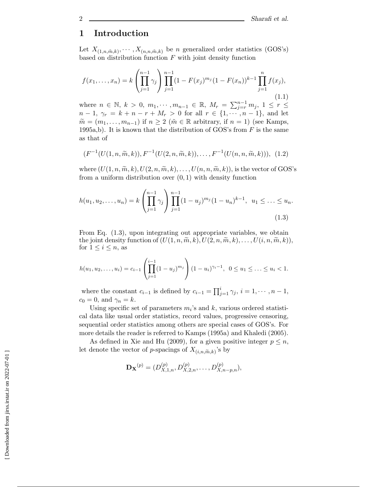# **1 Introduction**

Let  $X_{(1,n,\tilde{m},k)}, \cdots, X_{(n,n,\tilde{m},k)}$  be *n* generalized order statistics (GOS's) based on distribution function  $F$  with joint density function

$$
f(x_1, \ldots, x_n) = k \left( \prod_{j=1}^{n-1} \gamma_j \right) \prod_{j=1}^{n-1} (1 - F(x_j)^{m_j} (1 - F(x_n))^{k-1} \prod_{j=1}^{n} f(x_j),
$$
\n(1.1)

where  $n \in \mathbb{N}, k > 0, m_1, \dots, m_{n-1} \in \mathbb{R}, M_r = \sum_{j=r}^{n-1} m_j, 1 \le r \le$ <br> $n-1 \approx -k+n-r+M > 0$  for all  $r \in \{1, \dots, n-1\}$  and let  $n-1, \gamma_r = k+n-r+M_r > 0$  for all  $r \in \{1, \dots, n-1\}$ , and let  $\widetilde{m} = (m_1, \ldots, m_{n-1})$  if  $n \geq 2$  ( $\widetilde{m} \in \mathbb{R}$  arbitrary, if  $n = 1$ ) (see Kamps, 1995a,b). It is known that the distribution of GOS's from  $F$  is the same as that of

$$
(F^{-1}(U(1,n,\widetilde{m},k)),F^{-1}(U(2,n,\widetilde{m},k)),\ldots,F^{-1}(U(n,n,\widetilde{m},k))), (1.2)
$$

where  $(U(1, n, \widetilde{m}, k), U(2, n, \widetilde{m}, k), \ldots, U(n, n, \widetilde{m}, k))$ , is the vector of GOS's from a uniform distribution over  $(0, 1)$  with density function

$$
h(u_1, u_2, \dots, u_n) = k \left( \prod_{j=1}^{n-1} \gamma_j \right) \prod_{j=1}^{n-1} (1 - u_j)^{m_j} (1 - u_n)^{k-1}, \ u_1 \leq \dots \leq u_n.
$$
\n(1.3)

From Eq. (1.3), upon integrating out appropriate variables, we obtain the joint density function of  $(U(1, n, \tilde{m}, k), U(2, n, \tilde{m}, k), \ldots, U(i, n, \tilde{m}, k)),$ for  $1 \leq i \leq n$ , as

$$
h(u_1, u_2, \dots, u_i) = c_{i-1} \left( \prod_{j=1}^{i-1} (1 - u_j)^{m_j} \right) (1 - u_i)^{\gamma_i - 1}, \ \ 0 \le u_1 \le \dots \le u_i < 1.
$$

where the constant  $c_{i-1}$  is defined by  $c_{i-1} = \prod_{j=1}^{i} \gamma_j$ ,  $i = 1, \dots, n-1$ ,<br> $c_i = 0$  and  $\gamma_i = k$  $c_0 = 0$ , and  $\gamma_n = k$ .

Using specific set of parameters  $m_i$ 's and k, various ordered statistical data like usual order statistics, record values, progressive censoring, sequential order statistics among others are special cases of GOS's. For more details the reader is referred to Kamps (1995a) and Khaledi (2005).

As defined in Xie and Hu (2009), for a given positive integer  $p \leq n$ , let denote the vector of *p*-spacings of  $X_{(i,n,\widetilde{m},k)}$ 's by

$$
\mathbf{D}_{\mathbf{X}}^{(p)} = (D_{X,1,n}^{(p)}, D_{X,2,n}^{(p)}, \dots, D_{X,n-p,n}^{(p)}),
$$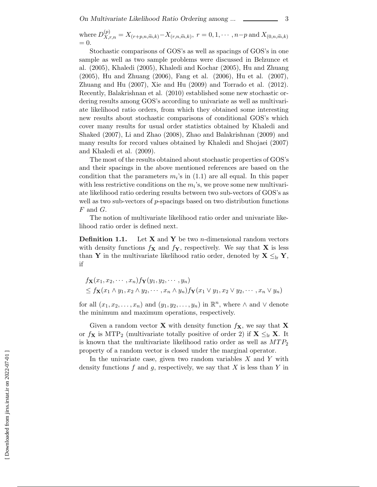where 
$$
D_{X,r,n}^{(p)} = X_{(r+p,n,\widetilde{m},k)} - X_{(r,n,\widetilde{m},k)}, r = 0, 1, \cdots, n-p
$$
 and  $X_{(0,n,\widetilde{m},k)} = 0$ .

Stochastic comparisons of GOS's as well as spacings of GOS's in one sample as well as two sample problems were discussed in Belzunce et al. (2005), Khaledi (2005), Khaledi and Kochar (2005), Hu and Zhuang (2005), Hu and Zhuang (2006), Fang et al. (2006), Hu et al. (2007), Zhuang and Hu (2007), Xie and Hu (2009) and Torrado et al. (2012). Recently, Balakrishnan et al. (2010) established some new stochastic ordering results among GOS's according to univariate as well as multivariate likelihood ratio orders, from which they obtained some interesting new results about stochastic comparisons of conditional GOS's which cover many results for usual order statistics obtained by Khaledi and Shaked (2007), Li and Zhao (2008), Zhao and Balakrishnan (2009) and many results for record values obtained by Khaledi and Shojaei (2007) and Khaledi et al. (2009).

The most of the results obtained about stochastic properties of GOS's and their spacings in the above mentioned references are based on the condition that the parameters  $m<sub>i</sub>$ 's in (1.1) are all equal. In this paper with less restrictive conditions on the  $m_i$ 's, we prove some new multivariate likelihood ratio ordering results between two sub-vectors of GOS's as well as two sub-vectors of  $p$ -spacings based on two distribution functions  $F$  and  $G$ .

The notion of multivariate likelihood ratio order and univariate likelihood ratio order is defined next.

**Definition 1.1.** Let **X** and **Y** be two n-dimensional random vectors with density functions  $f_{\mathbf{X}}$  and  $f_{\mathbf{Y}}$ , respectively. We say that **X** is less than **Y** in the multivariate likelihood ratio order, denoted by  $X \leq_{lr} Y$ , if

$$
f_{\mathbf{X}}(x_1, x_2, \cdots, x_n) f_{\mathbf{Y}}(y_1, y_2, \cdots, y_n)
$$
  
\n
$$
\leq f_{\mathbf{X}}(x_1 \wedge y_1, x_2 \wedge y_2, \cdots, x_n \wedge y_n) f_{\mathbf{Y}}(x_1 \vee y_1, x_2 \vee y_2, \cdots, x_n \vee y_n)
$$

for all  $(x_1, x_2,...,x_n)$  and  $(y_1, y_2,...,y_n)$  in  $\mathbb{R}^n$ , where  $\wedge$  and  $\vee$  denote the minimum and maximum operations, respectively.

Given a random vector **X** with density function  $f_{\mathbf{X}}$ , we say that **X** or  $f_{\mathbf{X}}$  is MTP<sub>2</sub> (multivariate totally positive of order 2) if  $\mathbf{X} \leq_{\text{lr}} \mathbf{X}$ . It is known that the multivariate likelihood ratio order as well as  $MTP_2$ property of a random vector is closed under the marginal operator.

In the univariate case, given two random variables  $X$  and  $Y$  with density functions f and g, respectively, we say that X is less than Y in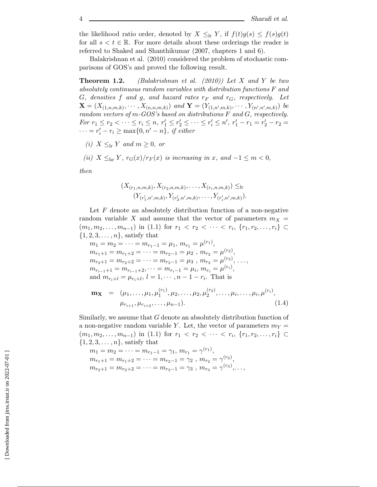the likelihood ratio order, denoted by  $X \leq_{\text{lr}} Y$ , if  $f(t)g(s) \leq f(s)g(t)$ for all  $s < t \in \mathbb{R}$ . For more details about these orderings the reader is referred to Shaked and Shanthikumar (2007, chapters 1 and 6).

Balakrishnan et al. (2010) considered the problem of stochastic comparisons of GOS's and proved the following result.

**Theorem 1.2.** *(Balakrishnan et al. (2010)) Let* X *and* Y *be two absolutely continuous random variables with distribution functions* F *and*  $G$ *, densities*  $f$  *and*  $g$ *, and hazard rates*  $r_F$  *and*  $r_G$ *, respectively. Let*  $\mathbf{X} = (X_{(1,n,m,k)}, \cdots, X_{(n,n,m,k)})$  and  $\mathbf{Y} = (Y_{(1,n',m,k)}, \cdots, Y_{(n',n',m,k)})$  be *random vectors of* m*-GOS's based on distributions* F *and* G*, respectively.*  $For r_1 \le r_2 < \cdots \le r_i \le n, r'_1 \le r'_2 \le \cdots \le r'_i \le n', r'_1 - r_1 = r'_2 - r_2 = \cdots = r' - r \ge \max\{0, r' - r_1\} \text{ if either }$  $\cdots = r'_i - r_i \ge \max\{0, n' - n\}, \text{ if either}$ 

- *(i)*  $X \leq_{lr} Y$  *and*  $m \geq 0$ *, or*
- *(ii)*  $X \leq_{hr} Y$ ,  $r_G(x)/r_F(x)$  *is increasing in* x*, and*  $-1 \leq m < 0$ *,*

*then*

$$
(X_{(r_1,n,m,k)}, X_{(r_2,n,m,k)}, \ldots, X_{(r_i,n,m,k)}) \leq \text{lr}
$$

$$
(Y_{(r'_1,n',m,k)}, Y_{(r'_2,n',m,k)}, \ldots, Y_{(r'_i,n',m,k)}).
$$

Let  $F$  denote an absolutely distribution function of a non-negative random variable X and assume that the vector of parameters  $m_X =$  $(m_1, m_2, \ldots, m_{n-1})$  in (1.1) for  $r_1 < r_2 < \cdots < r_i$ ,  $\{r_1, r_2, \ldots, r_i\}$  ⊂  $\{1, 2, 3, \ldots, n\}$ , satisfy that

 $m_1 = m_2 = \cdots = m_{r_1-1} = \mu_1, m_{r_1} = \mu^{(r_1)},$  $m_{r_1+1} = m_{r_1+2} = \cdots = m_{r_2-1} = \mu_2, m_{r_2} = \mu^{(r_2)},$  $m_{r_2+1} = m_{r_2+2} = \cdots = m_{r_3-1} = \mu_3, m_{r_3} = \mu^{(r_3)}, \ldots,$  $m_{r_{i-1}+1} = m_{r_{i-1}+2}, \dots = m_{r_i-1} = \mu_i, m_{r_i} = \mu^{(r_i)},$ and  $m_{r_i+l} = \mu_{r_i+l}, l = 1, \cdots, n-1-r_i$ . That is

$$
\mathbf{m}_{\mathbf{X}} = (\mu_1, \dots, \mu_1, \mu_1^{(r_1)}, \mu_2, \dots, \mu_2, \mu_2^{(r_2)}, \dots, \mu_i, \dots, \mu_i, \mu^{(r_i)},
$$
  

$$
\mu_{r_{i+1}}, \mu_{r_{i+2}}, \dots, \mu_{n-1}).
$$
 (1.4)

Similarly, we assume that G denote an absolutely distribution function of a non-negative random variable Y. Let, the vector of parameters  $m<sub>Y</sub>$  $(m_1, m_2, \ldots, m_{n-1})$  in (1.1) for  $r_1 < r_2 < \cdots < r_i$ ,  $\{r_1, r_2, \ldots, r_i\} \subset$  $\{1, 2, 3, \ldots, n\}$ , satisfy that

$$
m_1 = m_2 = \dots = m_{r_1 - 1} = \gamma_1, m_{r_1} = \gamma^{(r_1)},
$$
  
\n
$$
m_{r_1 + 1} = m_{r_1 + 2} = \dots = m_{r_2 - 1} = \gamma_2, m_{r_2} = \gamma^{(r_2)},
$$
  
\n
$$
m_{r_2 + 1} = m_{r_2 + 2} = \dots = m_{r_3 - 1} = \gamma_3, m_{r_3} = \gamma^{(r_3)}, \dots,
$$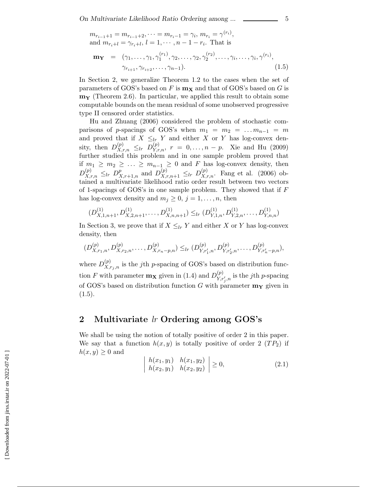$$
m_{r_{i-1}+1} = m_{r_{i-1}+2}, \dots = m_{r_i-1} = \gamma_i, m_{r_i} = \gamma^{(r_i)},
$$
  
and 
$$
m_{r_i+l} = \gamma_{r_i+l}, l = 1, \dots, n-1-r_i.
$$
 That is  

$$
\mathbf{m_Y} = (\gamma_1, \dots, \gamma_1, \gamma_1^{(r_1)}, \gamma_2, \dots, \gamma_2, \gamma_2^{(r_2)}, \dots, \gamma_i, \dots, \gamma_i, \gamma^{(r_i)},
$$

$$
\gamma_{r_{i+1}}, \gamma_{r_{i+2}}, \dots, \gamma_{n-1}).
$$

$$
(1.5)
$$

In Section 2, we generalize Theorem 1.2 to the cases when the set of parameters of GOS's based on F is  $m_X$  and that of GOS's based on G is **m<sup>Y</sup>** (Theorem 2.6). In particular, we applied this result to obtain some computable bounds on the mean residual of some unobserved progressive type II censored order statistics.

Hu and Zhuang (2006) considered the problem of stochastic comparisons of p-spacings of GOS's when  $m_1 = m_2 = \ldots m_{n-1} = m$ and proved that if  $X \leq_{lr} Y$  and either X or Y has log-convex density, then  $D_{X,r,n}^{(p)} \leq_{lr} D_{Y,r,n}^{(p)}$ ,  $r = 0, \ldots, n - p$ . Xie and Hu (2009) further studied this problem and in one sample problem proved that if  $m_1 \geq m_2 \geq \ldots \geq m_{n-1} \geq 0$  and  $F$  has log-convex density, then  $D_{X,r,n}^{(p)} \leq_{lr} D_{X,r+1,n}^{p}$  and  $D_{X,r,n+1}^{(p)} \leq_{lr} D_{X,r,n}^{(p)}$ . Fang et al. (2006) obtained a multivariate likelihood ratio order result between tw of 1-spacings of GOS's in one sample problem. They showed that if  $F$ has log-convex density and  $m_j \geq 0$ ,  $j = 1, \ldots, n$ , then

$$
(D_{X,1,n+1}^{(1)}, D_{X,2,n+1}^{(1)}, \ldots, D_{X,n,n+1}^{(1)}) \leq_{lr} (D_{Y,1,n}^{(1)}, D_{Y,2,n}^{(1)}, \ldots, D_{Y,n,n}^{(1)})
$$

In Section 3, we prove that if  $X \leq_{lr} Y$  and either X or Y has log-convex density, then

$$
(D_{X,r_1,n}^{(p)}, D_{X,r_2,n}^{(p)}, \ldots, D_{X,r_n-p,n}^{(p)}) \leq_{lr} (D_{Y,r'_1,n}^{(p)}, D_{Y,r'_2,n}^{(p)}, \ldots, D_{Y,r'_n-p,n}^{(p)}),
$$

where  $D_{X,r_j,n}^{(p)}$  is the j<sup>th</sup> p-spacing of GOS's based on distribution function F with parameter  $\mathbf{m}_{\mathbf{X}}$  given in (1.4) and  $D_{Y,r}^{(p)}$  $Y_{,r'_j,n}^{(p)}$  is the *j*th *p*-spacing of GOS's based on distribution function G with parameter  $\mathbf{m}_{\mathbf{Y}}$  given in  $(1.5).$ 

#### **2 Multivariate** *lr* **Ordering among GOS's**

We shall be using the notion of totally positive of order 2 in this paper. We say that a function  $h(x, y)$  is totally positive of order 2  $(T P_2)$  if  $h(x, y) \geq 0$  and

$$
\left| \begin{array}{ll} h(x_1, y_1) & h(x_1, y_2) \\ h(x_2, y_1) & h(x_2, y_2) \end{array} \right| \ge 0, \tag{2.1}
$$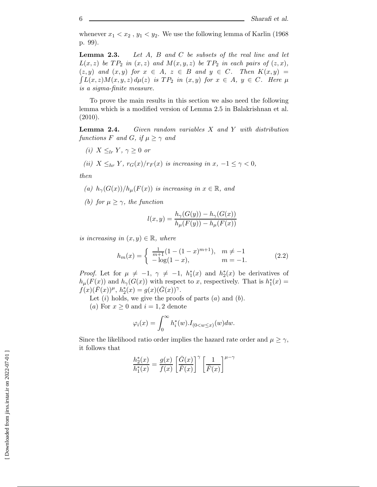whenever  $x_1 < x_2$ ,  $y_1 < y_2$ . We use the following lemma of Karlin (1968) p. 99).

**Lemma 2.3.** *Let* A*,* B *and* C *be subsets of the real line and let*  $L(x, z)$  *be*  $TP_2$  *in*  $(x, z)$  *and*  $M(x, y, z)$  *be*  $TP_2$  *in each pairs of*  $(z, x)$ *,*  $(z, y)$  and  $(x, y)$  for  $x \in A$ ,  $z \in B$  and  $y \in C$ . Then  $K(x, y) =$  $\int L(x, z)M(x, y, z) d\mu(z)$  *is*  $TP_2$  *in*  $(x, y)$  *for*  $x \in A$ *,*  $y \in C$ *.* Here  $\mu$ *is a sigma-finite measure.*

To prove the main results in this section we also need the following lemma which is a modified version of Lemma 2.5 in Balakrishnan et al. (2010).

**Lemma 2.4.** *Given random variables* X *and* Y *with distribution functions* F *and* G, if  $\mu \geq \gamma$  *and* 

- *(i)*  $X \leq_{lr} Y, \gamma \geq 0$  *or*
- *(ii)*  $X \leq_{hr} Y$ *,*  $r_G(x)/r_F(x)$  *is increasing in*  $x, -1 \leq \gamma < 0$ *,*

*then*

- *(a)*  $h_{\gamma}(G(x))/h_{\mu}(F(x))$  *is increasing in*  $x \in \mathbb{R}$ *, and*
- *(b)* for  $\mu \geq \gamma$ *, the function*

$$
l(x,y) = \frac{h_{\gamma}(G(y)) - h_{\gamma}(G(x))}{h_{\mu}(F(y)) - h_{\mu}(F(x))}
$$

*is increasing in*  $(x, y) \in \mathbb{R}$ , where

$$
h_m(x) = \begin{cases} \frac{1}{m+1}(1 - (1-x)^{m+1}), & m \neq -1 \\ -\log(1-x), & m = -1. \end{cases}
$$
 (2.2)

*Proof.* Let for  $\mu \neq -1$ ,  $\gamma \neq -1$ ,  $h_1^*(x)$  and  $h_2^*(x)$  be derivatives of  $h_\mu(F(x))$  and  $h_\gamma(G(x))$  with respect to x, respectively. That is  $h_1^*(x) = f(x)(\overline{F}(x))u - h^*(x) = g(x)(\overline{G}(x))$  $f(x)(\bar{F}(x))$ <sup>μ</sup>,  $h_2^*(x) = g(x)(\bar{G}(x))$ <sup>γ</sup>.

Let  $(i)$  holds, we give the proofs of parts  $(a)$  and  $(b)$ .

(a) For  $x \geq 0$  and  $i = 1, 2$  denote

$$
\varphi_i(x) = \int_0^\infty h_i^*(w) J_{(0 < w \leq x)}(w) dw.
$$

Since the likelihood ratio order implies the hazard rate order and  $\mu \geq \gamma$ , it follows that

$$
\frac{h_2^*(x)}{h_1^*(x)} = \frac{g(x)}{f(x)} \left[ \frac{\bar{G}(x)}{\bar{F}(x)} \right]^\gamma \left[ \frac{1}{\bar{F}(x)} \right]^{\mu - \gamma}
$$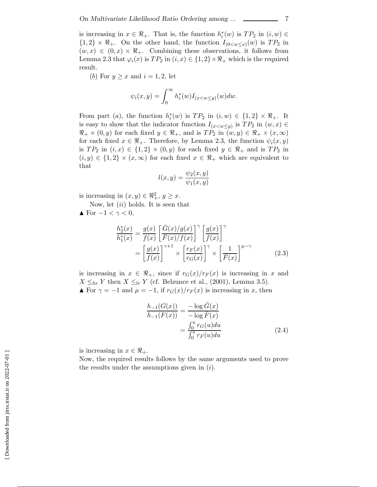is increasing in  $x \in \mathbb{R}_+$ . That is, the function  $h_i^*(w)$  is  $TP_2$  in  $(i, w) \in$ <br> $\{1, 2\} \times \mathbb{R}$ . On the other hand, the function  $L_2 \times \{w\}$  is  $TP_2$  in  $\{1,2\}\times\Re_+$ . On the other hand, the function  $I_{(0\lt w\lt x)}(w)$  is  $TP_2$  in  $(w, x) \in (0, x) \times \mathbb{R}_+$ . Combining these observations, it follows from Lemma 2.3 that  $\varphi_i(x)$  is  $TP_2$  in  $(i, x) \in \{1, 2\} \times \Re_+$  which is the required result.

(b) For  $y \geq x$  and  $i = 1, 2$ , let

$$
\psi_i(x,y) = \int_0^\infty h_i^*(w) I_{(x < w \le y)}(w) dw.
$$

From part (a), the function  $h_i^*(w)$  is  $TP_2$  in  $(i, w) \in \{1, 2\} \times \mathbb{R}_+$ . It<br>is easy to show that the indicator function  $L$ , is  $TP$ , in  $(w, x) \in$ is easy to show that the indicator function  $I_{(x\lt w\lt y)}$  is  $TP_2$  in  $(w, x) \in$  $\Re_+ \times (0, y)$  for each fixed  $y \in \Re_+$ , and is  $TP_2$  in  $(w, y) \in \Re_+ \times (x, \infty)$ for each fixed  $x \in \mathbb{R}_+$ . Therefore, by Lemma 2.3, the function  $\psi_i(x, y)$ is  $TP_2$  in  $(i, x) \in \{1, 2\} \times (0, y)$  for each fixed  $y \in \Re_+$  and is  $TP_2$  in  $(i, y) \in \{1, 2\} \times (x, \infty)$  for each fixed  $x \in \Re_+$  which are equivalent to that

$$
l(x,y) = \frac{\psi_2(x,y)}{\psi_1(x,y)}
$$

is increasing in  $(x, y) \in \mathbb{R}^2_+$ ,  $y \geq x$ .

Now, let  $(ii)$  holds. It is seen that

$$
\blacktriangle
$$
 For  $-1 < \gamma < 0$ ,

$$
\frac{h_2^*(x)}{h_1^*(x)} = \frac{g(x)}{f(x)} \left[ \frac{\bar{G}(x)/g(x)}{\bar{F}(x)/f(x)} \right]^\gamma \left[ \frac{g(x)}{f(x)} \right]^\gamma
$$

$$
= \left[ \frac{g(x)}{f(x)} \right]^{\gamma+1} \times \left[ \frac{r_F(x)}{r_G(x)} \right]^\gamma \times \left[ \frac{1}{\bar{F}(x)} \right]^{\mu-\gamma} \tag{2.3}
$$

is increasing in  $x \in \mathbb{R}_+$ , since if  $r_G(x)/r_F(x)$  is increasing in x and  $X \leq_{hr} Y$  then  $X \leq_{lr} Y$  (cf. Belzunce et al., (2001), Lemma 3.5). **■** For  $\gamma = -1$  and  $\mu = -1$ , if  $r_G(x)/r_F(x)$  is increasing in x, then

$$
\frac{h_{-1}(G(x))}{h_{-1}(F(x))} = \frac{-\log \bar{G}(x)}{-\log \bar{F}(x)}
$$

$$
= \frac{\int_0^u r_G(u) du}{\int_0^x r_F(u) du}
$$
(2.4)

is increasing in  $x \in \Re_+$ .

Now, the required results follows by the same arguments used to prove the results under the assumptions given in  $(i)$ .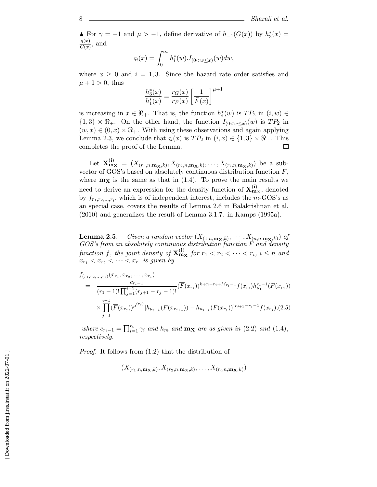$\blacktriangle$  For  $\gamma = -1$  and  $\mu > -1$ , define derivative of  $h_{-1}(G(x))$  by  $h_3^*(x) =$  $\frac{g(x)}{\overline{G}(x)}$ , and

$$
\varsigma_i(x) = \int_0^\infty h_i^*(w) \cdot I_{(0 < w \leq x)}(w) dw,
$$

where  $x \geq 0$  and  $i = 1, 3$ . Since the hazard rate order satisfies and  $\mu + 1 > 0$ , thus

$$
\frac{h_3^*(x)}{h_1^*(x)} = \frac{r_G(x)}{r_F(x)} \left[ \frac{1}{\overline{F}(x)} \right]^{\mu+1}
$$

is increasing in  $x \in \mathbb{R}_+$ . That is, the function  $h_i^*(w)$  is  $TP_2$  in  $(i, w) \in$ <br> $\{1, 3\} \times \mathbb{R}$ . On the other hand, the function  $L_{i_1} \times \cdots \times \mathbb{R}$ . In  $\{1,3\} \times \mathbb{R}_+$ . On the other hand, the function  $I_{(0 \lt w \leq x)}(w)$  is  $TP_2$  in  $(w, x) \in (0, x) \times \mathbb{R}_+$ . With using these observations and again applying Lemma 2.3, we conclude that  $\varsigma_i(x)$  is  $TP_2$  in  $(i, x) \in \{1, 3\} \times \Re_+$ . This completes the proof of the Lemma. completes the proof of the Lemma.

Let  $\mathbf{X}_{\mathbf{m}_{\mathbf{X}}}^{(i)} = (X_{(r_1,n,\mathbf{m}_{\mathbf{X}},k)}, X_{(r_2,n,\mathbf{m}_{\mathbf{X}},k)},\ldots,X_{(r_i,n,\mathbf{m}_{\mathbf{X}},k)})$  be a subvector of GOS's based on absolutely continuous distribution function  $F$ , where  $m_X$  is the same as that in  $(1.4)$ . To prove the main results we need to derive an expression for the density function of  $\mathbf{X}_{\mathbf{m}\mathbf{x}}^{(i)}$ , denoted by  $f_{r_1,r_2,...,r_i}$ , which is of independent interest, includes the m-GOS's as an special case, covers the results of Lemma 2.6 in Balakrishnan et al. (2010) and generalizes the result of Lemma 3.1.7. in Kamps (1995a).

**Lemma 2.5.** *Given a random vector*  $(X_{(1,n,\mathbf{m_x},k)}, \cdots, X_{(n,n,\mathbf{m_x},k)})$  *of GOS's from an absolutely continuous distribution function* F *and density function* f*, the joint density of* **X**(**i**) **<sup>m</sup><sup>X</sup>** *for* <sup>r</sup><sup>1</sup> < r<sup>2</sup> <sup>&</sup>lt; ··· < ri*,* <sup>i</sup> <sup>≤</sup> <sup>n</sup> *and*  $x_{r_1} < x_{r_2} < \cdots < x_{r_i}$  *is given by* 

$$
f_{(r_1,r_2,...,r_i)}(x_{r_1}, x_{r_2},..., x_{r_i})
$$
\n
$$
= \frac{c_{r_i-1}}{(r_1-1)!\prod_{j=1}^{i-1}(r_{j+1}-r_j-1)!} (\overline{F}(x_{r_i}))^{k+n-r_i+M_{r_i}-1} f(x_{r_i}) h_{\mu_1}^{r_1-1}(F(x_{r_1}))
$$
\n
$$
\times \prod_{j=1}^{i-1} (\overline{F}(x_{r_j}))^{\mu^{(r_j)}} [h_{\mu_{j+1}}(F(x_{r_{j+1}})) - h_{\mu_{j+1}}(F(x_{r_j}))]^{r_{j+1}-r_j-1} f(x_{r_j}), (2.5)
$$

*where*  $c_{r_i-1} = \prod_{i=1}^{r_i} \gamma_i$  *and*  $h_m$  *and*  $\mathbf{m_X}$  *are as given in* (2.2) *and* (1.4)*, respectively respectively.*

*Proof.* It follows from (1.2) that the distribution of

 $(X_{(r_1, n, \mathbf{m_x}, k)}, X_{(r_2, n, \mathbf{m_x}, k)}, \ldots, X_{(r_i, n, \mathbf{m_x}, k)})$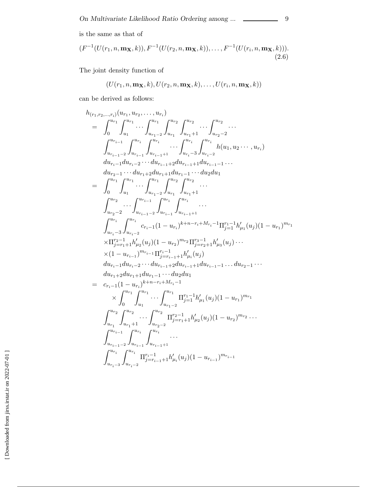is the same as that of

$$
(F^{-1}(U(r_1, n, \mathbf{m}_\mathbf{X}, k)), F^{-1}(U(r_2, n, \mathbf{m}_\mathbf{X}, k)), \dots, F^{-1}(U(r_i, n, \mathbf{m}_\mathbf{X}, k))).
$$
\n(2.6)

The joint density function of

$$
(U(r_1,n,\mathbf{m_X},k),U(r_2,n,\mathbf{m_X},k),\ldots,U(r_i,n,\mathbf{m_X},k))
$$

can be derived as follows:

$$
h_{(r_{1},r_{2},...,r_{i})}(u_{r_{1}},u_{r_{2}},...,u_{r_{i}})
$$
\n
$$
= \int_{0}^{u_{r_{1}}} \int_{u_{r_{1}}}^{u_{r_{1}}} \cdots \int_{u_{r_{1}-2}}^{u_{r_{1}}} \int_{u_{r_{1}}-1}^{u_{r_{2}}} \cdots \int_{u_{r_{2}}-2}^{u_{r_{2}}} \cdots
$$
\n
$$
\int_{u_{r_{i}-1}-2}^{u_{r_{i}-1}} \int_{u_{r_{i}-1}}^{u_{r_{i}}} \cdots \int_{u_{r_{i}-3}}^{u_{r_{i}}} \int_{u_{r_{i}-2}}^{u_{r_{i}}} h(u_{1},u_{2}\cdots,u_{r_{i}})
$$
\n
$$
= \int_{0}^{u_{r_{i}-1}} \cdots du_{r_{i}-1}u du_{r_{i-1}+2} du_{r_{i-1}+1} du_{r_{i-1}-1} \cdots
$$
\n
$$
= \int_{0}^{u_{r_{1}}} \int_{u_{1}}^{u_{r_{1}}} \cdots \int_{u_{r_{1}-2}}^{u_{r_{1}}} \int_{u_{r_{1}}-1}^{u_{r_{2}}} \cdots
$$
\n
$$
\int_{u_{r_{2}}-2}^{u_{r_{2}}} \cdots \int_{u_{r_{i}-1}-2}^{u_{r_{i}-1}} \int_{u_{r_{i}-1}}^{u_{r_{i}}} \int_{u_{r_{i}+1}}^{u_{r_{2}}} \cdots
$$
\n
$$
\int_{u_{r_{2}}-2}^{u_{r_{2}}} \cdots \int_{u_{r_{i-1}-2}}^{u_{r_{i}-1}} \int_{u_{r_{i}-1}}^{u_{r_{i}}} \cdots
$$
\n
$$
\int_{u_{r_{i}-3}}^{u_{r_{i}}} \int_{u_{r_{i}-1}-2}^{u_{r_{i}}} \cdots \int_{u_{r_{i-1}+1}}^{u_{r_{i}}} \cdots
$$
\n
$$
\int_{u_{r_{i}-3}}^{u_{r_{i}}} \int_{u_{r_{i-1}-2}}^{u_{r_{i}}} \cdots (1-u_{r_{i}})^{k+n-r_{i}+M_{r_{i}}-1} \prod_{j=1}^{r_{j-1}} h'_{\mu_{j}}(u_{j})(1-u_{r_{1}})^{m_{r_{1}}}
$$
\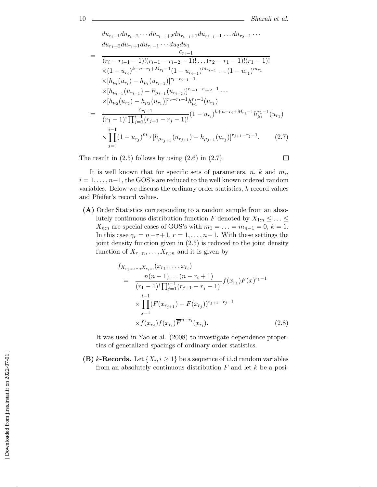$$
du_{r_{i-1}}du_{r_{i-2}}\cdots du_{r_{i-1}+2}du_{r_{i-1}+1}du_{r_{i-1}-1}\ldots du_{r_{2}-1}\cdots
$$
\n
$$
du_{r_{1}+2}du_{r_{1}+1}du_{r_{1}-1}\cdots du_{2}du_{1}
$$
\n
$$
= \frac{c_{r_{i}-1}}{(r_{i}-r_{i-1}-1)!(r_{i-1}-r_{i-2}-1)!\ldots(r_{2}-r_{1}-1)!(r_{1}-1)!}
$$
\n
$$
\times (1-u_{r_{i}})^{k+n-r_{i}+M_{r_{i}}-1}(1-u_{r_{i-1}})^{m_{r_{i-1}}}\ldots(1-u_{r_{1}})^{m_{r_{1}}}
$$
\n
$$
\times [h_{\mu_{i}}(u_{r_{i}})-h_{\mu_{i}}(u_{r_{i-1}})]^{r_{i}-r_{i-1}-1}
$$
\n
$$
\times [h_{\mu_{i-1}}(u_{r_{i-1}})-h_{\mu_{i-1}}(u_{r_{i-2}})]^{r_{i-1}-r_{i-2}-1}\ldots
$$
\n
$$
\times [h_{\mu_{2}}(u_{r_{2}})-h_{\mu_{2}}(u_{r_{1}})]^{r_{2}-r_{1}-1}h_{\mu_{1}}^{r_{1}-1}(u_{r_{1}})
$$
\n
$$
= \frac{c_{r_{i}-1}}{(r_{1}-1)!\prod_{j=1}^{i-1}(r_{j+1}-r_{j}-1)!}(1-u_{r_{i}})^{k+n-r_{i}+M_{r_{i}}-1}h_{\mu_{1}}^{r_{1}-1}(u_{r_{1}})
$$
\n
$$
\times \prod_{j=1}^{i-1}(1-u_{r_{j}})^{m_{r_{j}}[h_{\mu_{r_{j+1}}}(u_{r_{j+1}})-h_{\mu_{j+1}}(u_{r_{j}})]^{r_{j+1}-r_{j}-1}.
$$
\n(2.7)

The result in  $(2.5)$  follows by using  $(2.6)$  in  $(2.7)$ .

 $\Box$ 

It is well known that for specific sets of parameters,  $n, k$  and  $m_i$ ,  $i = 1, \ldots, n-1$ , the GOS's are reduced to the well known ordered random variables. Below we discuss the ordinary order statistics,  $k$  record values and Pfeifer's record values.

**(A)** Order Statistics corresponding to a random sample from an absolutely continuous distribution function F denoted by  $X_{1:n} \leq \ldots \leq$  $X_{n:n}$  are special cases of GOS's with  $m_1 = \ldots = m_{n-1} = 0, k = 1$ . In this case  $\gamma_r = n-r+1, r = 1, \ldots, n-1$ . With these settings the joint density function given in (2.5) is reduced to the joint density function of  $X_{r_1:n},\ldots,X_{r_i:n}$  and it is given by

$$
f_{X_{r_1:n},...,X_{r_i:n}}(x_{r_1},...,x_{r_i})
$$
  
= 
$$
\frac{n(n-1)...(n-r_i+1)}{(r_1-1)!\prod_{j=1}^{i-1}(r_{j+1}-r_j-1)!}f(x_{r_1})F(x)^{r_1-1}
$$
  

$$
\times \prod_{j=1}^{i-1}(F(x_{r_{j+1}})-F(x_{r_j}))^{r_{j+1}-r_j-1}
$$
  

$$
\times f(x_{r_j})f(x_{r_i})\overline{F}^{n-r_i}(x_{r_i}).
$$
 (2.8)

It was used in Yao et al. (2008) to investigate dependence properties of generalized spacings of ordinary order statistics.

**(B)** k-Records. Let  $\{X_i, i \geq 1\}$  be a sequence of i.i.d random variables from an absolutely continuous distribution  $F$  and let  $k$  be a posi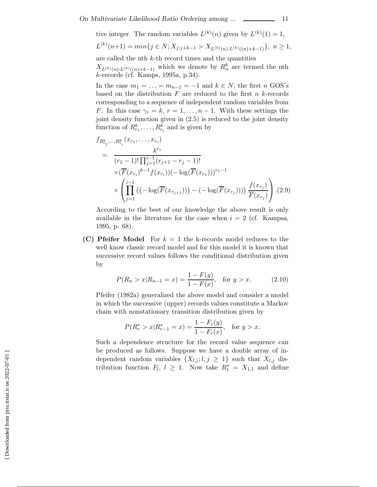tive integer. The random variables  $L^{(k)}(n)$  given by  $L^{(k)}(1) = 1$ ,

$$
L^{(k)}(n+1) = min\{j \in N; X_{j:j+k-1} > X_{L^{(k)}(n):L^{(k)}((n)+k-1)}\}, n \ge 1,
$$

are called the nth  $k$ -th record times and the quantities

 $X_{L^{(k)}(n):L^{(k)}((n)+k-1)}$  which we denote by  $R_n^k$  are termed the nth k-records (cf. Kamps, 1995a, p.34).

In the case  $m_1 = \ldots = m_{n-1} = -1$  and  $k \in N$ , the first n GOS's based on the distribution  $F$  are reduced to the first  $n$  k-records corresponding to a sequence of independent random variables from F. In this case  $\gamma_r = k, r = 1, \ldots, n-1$ . With these settings the joint density function given in (2.5) is reduced to the joint density function of  $R_{r_1}^k, \ldots, R_{r_i}^k$  and is given by

$$
f_{R_{r_1}^k, \dots, R_{r_i}^k}(x_{r_1}, \dots, x_{r_i})
$$
\n
$$
= \frac{k^{r_i}}{(r_1 - 1)! \prod_{j=1}^{i-1} (r_{j+1} - r_j - 1)!}
$$
\n
$$
\times (\overline{F}(x_{r_i})^{k-1} f(x_{r_i})) (-\log(\overline{F}(x_{r_1})))^{r_1 - 1}
$$
\n
$$
\times \left( \prod_{j=1}^{i-1} \left( (-\log(\overline{F}(x_{r_{j+1}}))) - (-\log(\overline{F}(x_{r_j}))) \right) \frac{f(x_{r_j})}{\overline{F}(x_{r_j})} \right) . (2.9)
$$

According to the best of our knowledge the above result is only available in the literature for the case when  $i = 2$  (cf. Kampsa, 1995, p. 68).

**(C) Pfeifer Model** For  $k = 1$  the k-records model reduces to the well know classic record model and for this model it is known that successive record values follows the conditional distribution given by

$$
P(R_n > x | R_{n-1} = x) = \frac{1 - F(y)}{1 - F(x)}, \quad \text{for } y > x. \tag{2.10}
$$

Pfeifer (1982a) generalized the above model and consider a model in which the successive (upper) records values constitute a Markov chain with nonstationary transition distribution given by

$$
P(R_r^* > x | R_{r-1}^* = x) = \frac{1 - F_r(y)}{1 - F_r(x)}, \text{ for } y > x.
$$

Such a dependence structure for the record value sequence can be produced as follows. Suppose we have a double array of independent random variables  $\{X_{l,j}; l,j \geq 1\}$  such that  $X_{l,j}$  distribution function  $F_l$ ,  $l \geq 1$ . Now take  $R_1^* = X_{1,1}$  and define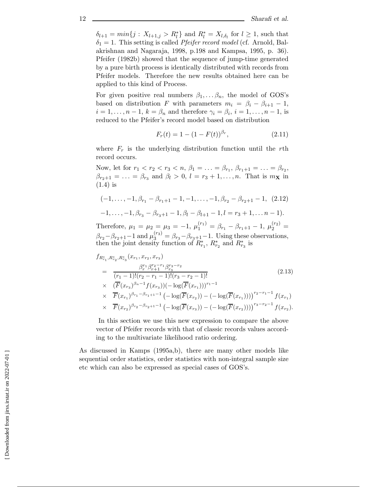$\delta_{l+1} = min\{j : X_{l+1,j} > R_l^*\}$  and  $R_l^* = X_{l,\delta_l}$  for  $l \geq 1$ , such that  $\delta_{l} = 1$ . This setting is called *Pteifer record model* (cf. Arnold Balled)  $\delta_1 = 1$ . This setting is called *Pfeifer record model* (cf. Arnold, Balakrishnan and Nagaraja, 1998, p.198 and Kampsa, 1995, p. 36). Pfeifer (1982b) showed that the sequence of jump-time generated by a pure birth process is identically distributed with records from Pfeifer models. Therefore the new results obtained here can be applied to this kind of Process.

For given positive real numbers  $\beta_1, \ldots, \beta_n$ , the model of GOS's based on distribution F with parameters  $m_i = \beta_i - \beta_{i+1} - 1$ ,  $i = 1, \ldots, n-1, k = \beta_n$  and therefore  $\gamma_i = \beta_i, i = 1, \ldots, n-1$ , is reduced to the Pfeifer's record model based on distribution

$$
F_r(t) = 1 - (1 - F(t))^{\beta_r}, \qquad (2.11)
$$

where  $F_r$  is the underlying distribution function until the rth record occurs.

Now, let for  $r_1 < r_2 < r_3 < n$ ,  $\beta_1 = \ldots = \beta_{r_1}, \beta_{r_1+1} = \ldots = \beta_{r_2}$ ,  $\beta_{r_2+1} = \ldots = \beta_{r_3}$  and  $\beta_l > 0$ ,  $l = r_3 + 1, \ldots, n$ . That is  $m_{\mathbf{X}}$  in (1.4) is

 $(-1,\ldots,-1,\beta_{r_1}-\beta_{r_1+1}-1,-1,\ldots,-1,\beta_{r_2}-\beta_{r_2+1}-1, (2.12))$ 

$$
-1,\ldots,-1,\beta_{r_3}-\beta_{r_3+1}-1,\beta_l-\beta_{l+1}-1,l=r_3+1,\ldots,n-1).
$$

Therefore,  $\mu_1 = \mu_2 = \mu_3 = -1$ ,  $\mu_1^{(r_1)} = \beta_{r_1} - \beta_{r_1+1} - 1$ ,  $\mu_2^{(r_2)} =$  $\beta_{r_2} - \beta_{r_2+1} - 1$  and  $\mu_3^{(r_3)} = \beta_{r_3} - \beta_{r_3+1} - 1$ . Using these observations, then the joint density function of  $R^*_{r_1}$ ,  $R^*_{r_2}$  and  $R^*_{r_3}$  is

$$
f_{R_{r_1}^*, R_{r_2}^*, R_{r_3}^*}(x_{r_1}, x_{r_2}, x_{r_3})
$$
\n
$$
= \frac{\beta_r^{r_1} \beta_{r+1}^{r_2 - r_1} \beta_{r_3}^{r_3 - r_2}}{(r_1 - 1)!(r_2 - r_1 - 1)!(r_3 - r_2 - 1)!}
$$
\n
$$
\times \quad (\overline{F}(x_{r_3})^{\beta_n - 1} f(x_{r_3})) (-\log(\overline{F}(x_{r_1})))^{r_1 - 1}
$$
\n
$$
\times \overline{F}(x_{r_1})^{\beta_{r_1} - \beta_{r_1 + 1} - 1} (-\log(\overline{F}(x_{r_2})) - (-\log(\overline{F}(x_{r_1}))))^{r_2 - r_1 - 1} f(x_{r_1})
$$
\n
$$
\times \overline{F}(x_{r_2})^{\beta_{r_2} - \beta_{r_2 + 1} - 1} (-\log(\overline{F}(x_{r_3})) - (-\log(\overline{F}(x_{r_2}))))^{r_3 - r_2 - 1} f(x_{r_2}).
$$
\n(2.13)

In this section we use this new expression to compare the above vector of Pfeifer records with that of classic records values according to the multivariate likelihood ratio ordering.

As discussed in Kamps (1995a,b), there are many other models like sequential order statistics, order statistics with non-integral sample size etc which can also be expressed as special cases of GOS's.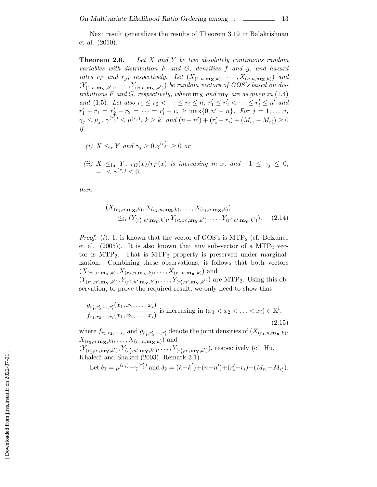Next result generalizes the results of Theorem 3.19 in Balakrishnan et al. (2010).

**Theorem 2.6.** *Let* X *and* Y *be two absolutely continuous random variables with distribution* F *and* G*, densities* f *and* g*, and hazard rates*  $r_F$  *and*  $r_g$ *, respectively. Let*  $(X_{(1,n,\mathbf{m_X},k)}, \cdots, X_{(n,n,\mathbf{m_X},k)})$  *and*  $(Y_{(1,n,\mathbf{m}\mathbf{y},k')},\cdots,Y_{(n,n,\mathbf{m}\mathbf{y},k')})$  be random vectors of GOS's based on dis-<br>tributions E and C respectively, where  $\mathbf{m}$ -and  $\mathbf{m}$ -are as given in (1.4) *tributions*  $\overrightarrow{F}$  *and*  $\overrightarrow{G}$ *, respectively, where*  $\mathbf{m_X}$  *and*  $\mathbf{m_Y}$  *are as given in* (1.4) *and* (1.5)*.* Let also  $r_1 \leq r_2 < \cdots \leq r_i \leq n$ ,  $r'_1 \leq r'_2 < \cdots \leq r'_i \leq n'$  and  $r' = r_i = r'_i = r_i > \max\{0, n' = n\}$ . For  $i = 1$ , i.e.  $r'_1 - r_1 = r'_2 - r_2 = \cdots = r'_i - r_i \ge \max\{0, n' - n\}$ . For  $j = 1, \ldots, i$ ,<br> $r_i \le \mu_i (r'_i) \le \mu_i (r_i)$ ,  $h > h'_i$ , and  $(n - n') + (n' - n) + (M - M) > 0$  $\gamma_j \le \mu_j, \, \gamma^{(r'_j)} \le \mu^{(r_j)}, \, k \ge k' \, \text{ and } (n - n') + (r'_i - r_i) + (M_{r_i} - M_{r'_i}) \ge 0$ *if*

- *(i)*  $X \leq_{\text{lr}} Y$  *and*  $\gamma_j \geq 0, \gamma^{(r'_j)} \geq 0$  *or*
- (*ii*)  $X \leq_{hr} Y$ ,  $r_G(x)/r_F(x)$  *is increasing in* x*, and*  $-1 \leq \gamma_j \leq 0$ ,<br>  $-1 \leq \gamma^{(r_j)} \leq 0$ ,

*then*

$$
(X_{(r_1, n, \mathbf{m}_\mathbf{X}, k)}, X_{(r_2, n, \mathbf{m}_\mathbf{X}, k)}, \dots, X_{(r_i, n, \mathbf{m}_\mathbf{X}, k)})
$$
  
 
$$
\leq_{\text{lr}} (Y_{(r'_1, n', \mathbf{m}_\mathbf{Y}, k')}, Y_{(r'_2, n', \mathbf{m}_\mathbf{Y}, k')}, \dots, Y_{(r'_i, n', \mathbf{m}_\mathbf{Y}, k')}).
$$
 (2.14)

*Proof.* (i). It is known that the vector of GOS's is  $\text{MTP}_2$  (cf. Belzunce et al.  $(2005)$ ). It is also known that any sub-vector of a MTP<sub>2</sub> vector is  $MTP_2$ . That is  $MTP_2$  property is preserved under marginalization. Combining these observations, it follows that both vectors  $(X_{(r_1,n,\mathbf{m_X},k)}, X_{(r_2,n,\mathbf{m_X},k)},\ldots,X_{(r_i,n,\mathbf{m_X},k)})$  and  $(Y_{(r'_1)})$  $(Y_{1,n',m\mathbf{Y},k'})^{\mathbf{Y}}$ ,  $Y_{(r'_2,n',m\mathbf{Y},k')}$ <sup>1</sup>,n-<sup>2</sup>,n-<sup>i</sup>,n-servation, to prove the required result, we only need to show that  $Y_{2,n',\mathbf{m_Y},k'}^{\prime},\ldots,Y_{(r'_{i})}^{\prime}$  $(\mathbf{w}_i', \mathbf{w}_i, \mathbf{w}_j, \mathbf{k}')$  are MTP<sub>2</sub>. Using this ob-

$$
\frac{g_{r'_1,r'_2,\dots,r'_i}(x_1,x_2,\dots,x_i)}{f_{r_1,r_2,\dots,r_i}(x_1,x_2,\dots,x_i)}
$$
 is increasing in  $(x_1 < x_2 < \dots < x_i) \in \mathbb{R}^i$ , (2.15)

where  $f_{r_1,r_2,\dots,r_i}$  and  $g_{r'_1}$  $x'_1, x'_2, \cdots, x'_i$  $\sum_{i}$  denote the joint densities of  $(X_{(r_1,n,\mathbf{m_X},k)},\ldots)$  $X_{(r_2,n,\mathbf{m_X},k)},\ldots,X_{(r_i,n,\mathbf{m_X},k)})$  and

 $(Y_{(r_1')})$  $(Y_{1,n',m_{\mathbf{Y}},k'})$ ,  $Y_{(r'_{2})}$  $\chi^2(r'_1,n',m_{\mathbf{Y}},k')$ ,  $\chi^2(r'_2,n',m_{\mathbf{Y}},k')$ ,  $\chi^2(r'_i,n',m_{\mathbf{Y}},k')$ , Khaledi and Shaked (2003), Remark 3.1).  $Y_{2,n',m_{\mathbf{Y}},k'}(n_2,\ldots,Y_{(r'_k)})$  $(\mathbf{r}'_i, n', \mathbf{m_Y}, k')$ , respectively (cf. Hu,

Let 
$$
\delta_1 = \mu^{(r_j)} - \gamma^{(r'_j)}
$$
 and  $\delta_2 = (k - k') + (n - n') + (r'_i - r_i) + (M_{r_i} - M_{r'_i}).$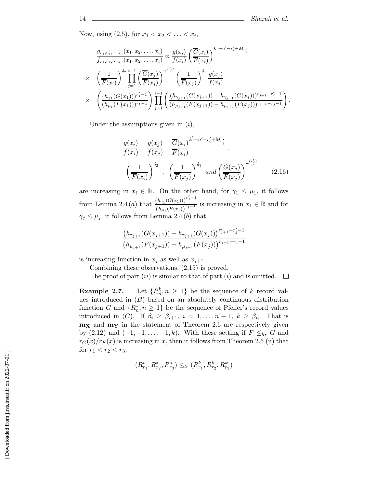Now, using  $(2.5)$ , for  $x_1 < x_2 < \ldots < x_i$ ,

$$
\frac{g_{r'_1,r'_2,\dots,r'_i}(x_1,x_2,\dots,x_i)}{f_{r_1,r_2,\dots,r_i}(x_1,x_2,\dots,x_i)} \propto \frac{g(x_i)}{f(x_i)} \left(\frac{\overline{G}(x_i)}{\overline{F}(x_i)}\right)^{k'+n'-r'_i+M_{r'_i}}
$$
\n
$$
\times \left(\frac{1}{\overline{F}(x_i)}\right)^{\delta_2} \prod_{j=1}^{i-1} \left(\frac{\overline{G}(x_j)}{\overline{F}(x_j)}\right)^{\gamma^{(r'_j)}} \left(\frac{1}{\overline{F}(x_j)}\right)^{\delta_1} \frac{g(x_j)}{f(x_j)}
$$
\n
$$
\times \left(\frac{(h_{\gamma_1}(G(x_1)))^{r'_1-1}}{(h_{\mu_1}(F(x_1)))^{r_1-1}}\right) \prod_{j=1}^{i-1} \left(\frac{(h_{\gamma_{j+1}}(G(x_{j+1})) - h_{\gamma_{j+1}}(G(x_j)))^{r'_{j+1}-r'_j-1}}{(h_{\mu_{j+1}}(F(x_{j+1})) - h_{\mu_{j+1}}(F(x_j)))^{r_{j+1}-r'_j-1}}\right).
$$

Under the assumptions given in  $(i)$ ,

$$
\frac{g(x_i)}{f(x_i)}, \frac{g(x_j)}{f(x_j)}, \frac{\overline{G}(x_i)}{\overline{F}(x_i)}^{k'+n'-r'_i+M_{r'_i}},
$$
\n
$$
\left(\frac{1}{\overline{F}(x_i)}\right)^{\delta_2}, \left(\frac{1}{\overline{F}(x_j)}\right)^{\delta_1} \text{ and } \left(\frac{\overline{G}(x_j)}{\overline{F}(x_j)}\right)^{\gamma^{(r'_j)}} \tag{2.16}
$$

are increasing in  $x_i \in \mathbb{R}$ . On the other hand, for  $\gamma_1 \leq \mu_1$ , it follows from Lemma 2.4 (*a*) that  $\frac{(h_{\gamma_1}(G(x_1)))^{r'_1-1}}{(h_{\gamma_1}(G(x_1)))^{r_1-1}}$  $\left(h_{\mu_1}(F(x_1))\right)$  $\frac{1}{r_1-1}$  is increasing in  $x_1 \in \mathbb{R}$  and for  $\gamma_i \leq \mu_i$ , it follows from Lemma 2.4(*b*) that

$$
\frac{(h_{\gamma_{j+1}}(G(x_{j+1}))-h_{\gamma_{j+1}}(G(x_j)))^{r'_{j+1}-r'_{j}-1}}{(h_{\mu_{j+1}}(F(x_{j+1}))-h_{\mu_{j+1}}(F(x_j)))^{r_{j+1}-r_{j}-1}}
$$

is increasing function in  $x_j$  as well as  $x_{j+1}$ .

Combining these observations, (2.15) is proved.

The proof of part (ii) is similar to that of part (i) and is omitted.  $\Box$ 

**Example 2.7.** Let  $\{R_n^k, n \geq 1\}$  be the sequence of k record values introduced in  $(B)$  based on an absolutely continuous distribution function G and  $\{R_n^*, n \geq 1\}$  be the sequence of Pfeifer's record values<br>introduced in  $(C)$ , If  $\beta \geq \beta$ ,  $i = 1$ ,  $n = 1$ ,  $k \geq \beta$ . That is introduced in (C). If  $\beta_i \geq \beta_{i+1}, i = 1, \ldots, n-1, k \geq \beta_n$ . That is **m<sup>X</sup>** and **m<sup>Y</sup>** in the statement of Theorem 2.6 are respectively given by (2.12) and  $(-1,-1,\ldots,-1,k)$ . With these setting if  $F \leq_{hr} G$  and  $r_G(x)/r_F(x)$  is increasing in x, then it follows from Theorem 2.6 (ii) that for  $r_1 < r_2 < r_3$ ,

$$
(R_{r_1}^*, R_{r_2}^*, R_{r_3}^*) \leq_{lr} (R_{r_1}^k, R_{r_2}^k, R_{r_3}^k)
$$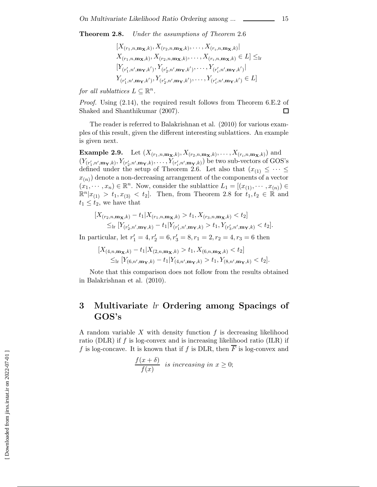**Theorem 2.8.** *Under the assumptions of Theorem* 2.6

$$
[X_{(r_1, n, \mathbf{m_X}, k)}, X_{(r_2, n, \mathbf{m_X}, k)}, \dots, X_{(r_i, n, \mathbf{m_X}, k)}]
$$
  
\n
$$
X_{(r_1, n, \mathbf{m_X}, k)}, X_{(r_2, n, \mathbf{m_X}, k)}, \dots, X_{(r_i, n, \mathbf{m_X}, k)} \in L] \leq
$$
  
\n
$$
[Y_{(r'_1, n', \mathbf{m_Y}, k')}, Y_{(r'_2, n', \mathbf{m_Y}, k')}, \dots, Y_{(r'_i, n', \mathbf{m_Y}, k')}]
$$
  
\n
$$
Y_{(r'_1, n', \mathbf{m_Y}, k')}, Y_{(r'_2, n', \mathbf{m_Y}, k')}, \dots, Y_{(r'_i, n', \mathbf{m_Y}, k')} \in L]
$$

*for all sublattices*  $L \subset \mathbb{R}^n$ .

*Proof.* Using  $(2.14)$ , the required result follows from Theorem 6.E.2 of Shaked and Shanthikumar (2007).  $\Box$ 

The reader is referred to Balakrishnan et al. (2010) for various examples of this result, given the different interesting sublattices. An example is given next.

**Example 2.9.** Let  $(X_{(r_1,n,\mathbf{m_X},k)}, X_{(r_2,n,\mathbf{m_X},k)},\ldots,X_{(r_i,n,\mathbf{m_X},k)})$  and  $\frac{\left(Y_{(r'_1)}\right)^{r'_2}}{\left(\frac{r'_1}{r'_2}\right)^{r'_1}}$  $(1(r'_1,n',m_{\mathbf{Y}},k),1(r'_2,n',m_{\mathbf{Y}},k),\ldots,1(r'_i,n',m_{\mathbf{Y}},k))$  be two sub-vectors of GOD's defined under the setup of Theorem 2.6. Let also that  $(x_{(1)} \leq \cdots \leq$  $(\mathbf{m}_{\mathbf{Y},k}), Y_{(r'_2)}$  $\mathbf{y}_{\mathbf{y},k},\ldots,\mathbf{y}_{(r_i)}$  $(\mathbf{m}_{\mathbf{Y},k})$  be two sub-vectors of GOS's  $x_{(n)}$  denote a non-decreasing arrangement of the components of a vector  $(x_1, \dots, x_n) \in \mathbb{R}^n$ . Now, consider the sublattice  $L_1 = [(x_{(1)}, \dots, x_{(n)}) \in$  $\mathbb{R}^{n}|x_{(1)} > t_1, x_{(3)} < t_2$ . Then, from Theorem 2.8 for  $t_1, t_2 \in \mathbb{R}$  and  $t_1 \leq t_2$ , we have that

$$
[X_{(r_2,n,\mathbf{m_X},k)} - t_1 | X_{(r_1,n,\mathbf{m_X},k)} > t_1, X_{(r_3,n,\mathbf{m_X},k)} < t_2]
$$
  
\$\leq\_{\rm lr} [Y\_{(r'\_2,n',\mathbf{m\_Y},k)} - t\_1 | Y\_{(r'\_1,n',\mathbf{m\_Y},k)} > t\_1, Y\_{(r'\_3,n',\mathbf{m\_Y},k)} < t\_2].\$

In particular, let  $r'_1 = 4, r'_2 = 6, r'_3 = 8, r_1 = 2, r_2 = 4, r_3 = 6$  then

$$
[X_{(4,n,\mathbf{m}_{\mathbf{X}},k)} - t_1 | X_{(2,n,\mathbf{m}_{\mathbf{X}},k)} > t_1, X_{(6,n,\mathbf{m}_{\mathbf{X}},k)} < t_2] \\
 \leq_{\text{lr}} [Y_{(6,n',\mathbf{m}_{\mathbf{Y}},k)} - t_1 | Y_{(4,n',\mathbf{m}_{\mathbf{Y}},k)} > t_1, Y_{(8,n',\mathbf{m}_{\mathbf{Y}},k)} < t_2].
$$

Note that this comparison does not follow from the results obtained in Balakrishnan et al. (2010).

# **3 Multivariate** *lr* **Ordering among Spacings of GOS's**

A random variable  $X$  with density function  $f$  is decreasing likelihood ratio (DLR) if  $f$  is log-convex and is increasing likelihood ratio (ILR) if f is log-concave. It is known that if f is DLR, then  $\overline{F}$  is log-convex and

$$
\frac{f(x+\delta)}{f(x)}
$$
 is increasing in  $x \ge 0$ ;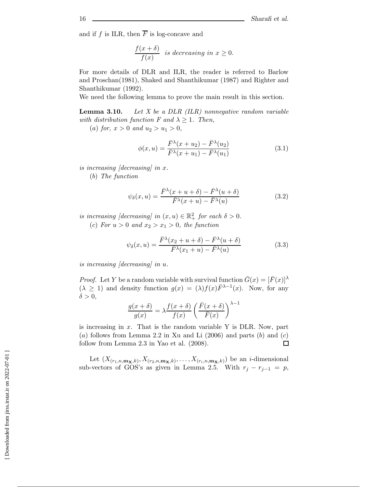and if f is ILR, then  $\overline{F}$  is log-concave and

$$
\frac{f(x+\delta)}{f(x)}
$$
 is decreasing in  $x \ge 0$ .

For more details of DLR and ILR, the reader is referred to Barlow and Proschan(1981), Shaked and Shanthikumar (1987) and Righter and Shanthikumar (1992).

We need the following lemma to prove the main result in this section.

**Lemma 3.10.** *Let X be a DLR (ILR) nonnegative random variable with distribution function F and*  $\lambda \geq 1$ *. Then,* 

(a) *for*,  $x > 0$  *and*  $u_2 > u_1 > 0$ ,

$$
\phi(x,u) = \frac{\bar{F}^{\lambda}(x+u_2) - \bar{F}^{\lambda}(u_2)}{\bar{F}^{\lambda}(x+u_1) - \bar{F}^{\lambda}(u_1)}
$$
\n(3.1)

*is increasing [decreasing] in* x*.*

(b) *The function*

$$
\psi_{\delta}(x, u) = \frac{\bar{F}^{\lambda}(x + u + \delta) - \bar{F}^{\lambda}(u + \delta)}{\bar{F}^{\lambda}(x + u) - \bar{F}^{\lambda}(u)}
$$
(3.2)

*is increasing [decreasing] in*  $(x, u) \in \mathbb{R}^2_+$  *for each*  $\delta > 0$ *.* 

(c) For  $u > 0$  and  $x_2 > x_1 > 0$ , the function

$$
\psi_{\delta}(x, u) = \frac{\bar{F}^{\lambda}(x_2 + u + \delta) - \bar{F}^{\lambda}(u + \delta)}{\bar{F}^{\lambda}(x_1 + u) - \bar{F}^{\lambda}(u)}
$$
(3.3)

*is increasing [decreasing] in* u*.*

*Proof.* Let Y be a random variable with survival function  $\bar{G}(x)=[\bar{F}(x)]^{\lambda}$  $(\lambda \geq 1)$  and density function  $g(x)=(\lambda)f(x)\overline{F}^{\lambda-1}(x)$ . Now, for any  $\delta > 0$ ,

$$
\frac{g(x+\delta)}{g(x)} = \lambda \frac{f(x+\delta)}{f(x)} \left( \frac{\bar{F}(x+\delta)}{\bar{F}(x)} \right)^{\lambda-1}
$$

is increasing in  $x$ . That is the random variable Y is DLR. Now, part (a) follows from Lemma 2.2 in Xu and Li  $(2006)$  and parts  $(b)$  and  $(c)$ follow from Lemma 2.3 in Yao et al. (2008).  $\Box$ 

Let  $(X_{(r_1,n,\mathbf{m_X},k)}, X_{(r_2,n,\mathbf{m_X},k)},\ldots,X_{(r_i,n,\mathbf{m_X},k)})$  be an *i*-dimensional sub-vectors of GOS's as given in Lemma 2.5. With  $r_j - r_{j-1} = p$ ,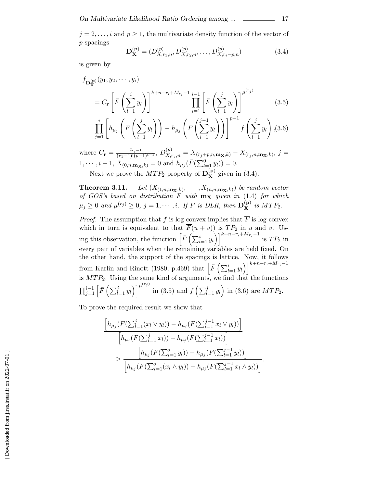$j = 2, \ldots, i$  and  $p \ge 1$ , the multivariate density function of the vector of p-spacings

$$
\mathbf{D}_{\mathbf{X}}^{(\mathbf{p})} = (D_{X,r_1,n}^{(p)}, D_{X,r_2,n}^{(p)}, \dots, D_{X,r_i-p,n}^{(p)})
$$
(3.4)

 $l=1$ 

 $l=1$ 

is given by

$$
f_{\mathbf{D}_{\mathbf{X}}^{(\mathbf{p})}}(y_1, y_2, \cdots, y_i)
$$
  
=  $C_{\mathbf{r}} \left[ \bar{F} \left( \sum_{l=1}^i y_l \right) \right]^{k+n-r_i+M_{r_i}-1} \prod_{j=1}^{i-1} \left[ \bar{F} \left( \sum_{l=1}^j y_l \right) \right]^{\mu^{(r_j)}} (3.5)$   

$$
\prod_{j=1}^i \left[ h_{\mu_j} \left( F \left( \sum_{l=1}^j y_l \right) \right) - h_{\mu_j} \left( F \left( \sum_{l=1}^{j-1} y_l \right) \right) \right]^{p-1} f \left( \sum_{l=1}^j y_l \right), (3.6)
$$

where  $C_{\bf r} = \frac{c_{r_i-1}}{(r_1-1)!(p-1)^{i-1}}, D_{X,r_j,n}^{(p)} = X_{(r_j+p,n,m_{\bf X},k)} - X_{(r_j,n,m_{\bf X},k)}, j =$ 1, ···,  $i - 1$ ,  $X_{(0,n,\mathbf{m_X},k)} = 0$  and  $h_{\mu_j}(\bar{F}(\sum_{l=1}^0 y_l)) = 0$ .

Next we prove the  $MTP_2$  property of  $\mathbf{D}_{\mathbf{X}}^{(\mathbf{p})}$  given in (3.4).

**Theorem 3.11.** *Let*  $(X_{(1,n,\mathbf{m_X},k)}, \cdots, X_{(n,n,\mathbf{m_X},k)})$  *be random vector of GOS's based on distribution F with*  $\mathbf{m_X}$  *given in* (1.4) *for which*  $\mu_j \geq 0$  and  $\mu^{(r_j)} \geq 0$ ,  $j = 1, \dots, i$ *. If* F is DLR, then  $\mathbf{D}_{\mathbf{X}}^{(\mathbf{p})}$  is MTP<sub>2</sub>.

*Proof.* The assumption that f is log-convex implies that  $\overline{F}$  is log-convex which in turn is equivalent to that  $F(u + v)$  is  $TP_2$  in u and v. Using this observation, the function  $\left[\bar{F}\left(\sum_{l=1}^{i} y_l\right)\right]^{k+n-r_i+M_{r_i}-1}$  is  $TP_2$  in every pair of variables when the remaining variables are held fixed. On the other hand, the support of the spacings is lattice. Now, it follows from Karlin and Rinott (1980, p.469) that  $\left[\bar{F}\left(\sum_{l=1}^{i} y_{l}\right)\right]^{k+n-r_{i}+M_{r_{i}}-1}$ is  $MTP_2$ . Using the same kind of arguments, we find that the functions  $\prod_{j=1}^{i-1} \left[ \bar{F} \left( \sum_{l=1}^j y_l \right) \right]$  $\left[\right] \mu^{(r_j)}$  in (3.5) and  $f\left(\sum_{l=1}^j y_l\right)$  in (3.6) are  $MTP_2$ .

To prove the required result we show that

 $l=1$ 

$$
\frac{\left[h_{\mu_j}(F(\sum_{l=1}^j(x_l\vee y_l))-h_{\mu_j}(F(\sum_{l=1}^{j-1}x_l\vee y_l))\right]}{\left[h_{\mu_j}(F(\sum_{l=1}^jx_l))-h_{\mu_j}(F(\sum_{l=1}^{j-1}x_l))\right]}
$$
\n
$$
\geq \frac{\left[h_{\mu_j}(F(\sum_{l=1}^jy_l))-h_{\mu_j}(F(\sum_{l=1}^{j-1}y_l))\right]}{\left[h_{\mu_j}(F(\sum_{l=1}^j(x_l\wedge y_l))-h_{\mu_j}(F(\sum_{l=1}^{j-1}x_l\wedge y_l))\right]}.
$$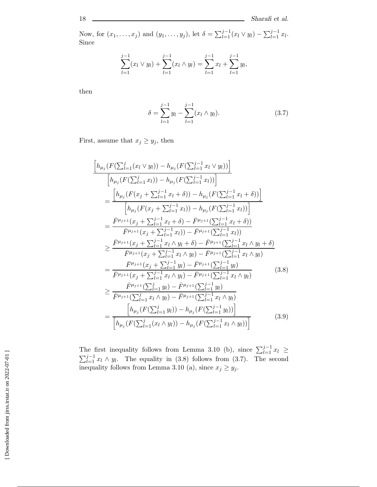Now, for  $(x_1, ..., x_j)$  and  $(y_1, ..., y_j)$ , let  $\delta = \sum_{l=1}^{j-1} (x_l \vee y_l) - \sum_{l=1}^{j-1} x_l$ . Since

$$
\sum_{l=1}^{j-1} (x_l \vee y_l) + \sum_{l=1}^{j-1} (x_l \wedge y_l) = \sum_{l=1}^{j-1} x_l + \sum_{l=1}^{j-1} y_l,
$$

then

$$
\delta = \sum_{l=1}^{j-1} y_l - \sum_{l=1}^{j-1} (x_l \wedge y_l). \tag{3.7}
$$

First, assume that  $x_j \geq y_j$ , then

$$
\frac{\left[h_{\mu_{j}}(F(\sum_{l=1}^{j}(x_{l} \vee y_{l})) - h_{\mu_{j}}(F(\sum_{l=1}^{j-1}x_{l} \vee y_{l}))\right]}{\left[h_{\mu_{j}}(F(\sum_{l=1}^{j}x_{l})) - h_{\mu_{j}}(F(\sum_{l=1}^{j-1}x_{l}))\right]}
$$
\n
$$
= \frac{\left[h_{\mu_{j}}(F(x_{j} + \sum_{l=1}^{j-1}x_{l} + \delta)) - h_{\mu_{j}}(F(\sum_{l=1}^{j-1}x_{l} + \delta))\right]}{\left[h_{\mu_{j}}(F(x_{j} + \sum_{l=1}^{j-1}x_{l})) - h_{\mu_{j}}(F(\sum_{l=1}^{j-1}x_{l}))\right]}
$$
\n
$$
= \frac{\bar{F}^{\mu_{j+1}}(x_{j} + \sum_{l=1}^{j-1}x_{l} + \delta) - \bar{F}^{\mu_{j+1}}(\sum_{l=1}^{j-1}x_{l} + \delta))}{\bar{F}^{\mu_{j+1}}(x_{j} + \sum_{l=1}^{j-1}x_{l}) - \bar{F}^{\mu_{j+1}}(\sum_{l=1}^{j-1}x_{l} + \delta)}
$$
\n
$$
\geq \frac{\bar{F}^{\mu_{j+1}}(x_{j} + \sum_{l=1}^{j-1}x_{l} \wedge y_{l} + \delta) - \bar{F}^{\mu_{j+1}}(\sum_{l=1}^{j-1}x_{l} \wedge y_{l} + \delta)}{\bar{F}^{\mu_{j+1}}(x_{j} + \sum_{l=1}^{j-1}x_{l} \wedge y_{l}) - \bar{F}^{\mu_{j+1}}(\sum_{l=1}^{j-1}y_{l})}
$$
\n
$$
= \frac{\bar{F}^{\mu_{j+1}}(x_{j} + \sum_{l=1}^{j-1}x_{l} \wedge y_{l}) - \bar{F}^{\mu_{j+1}}(\sum_{l=1}^{j-1}y_{l})}{\bar{F}^{\mu_{j+1}}(x_{j} + \sum_{l=1}^{j-1}x_{l} \wedge y_{l}) - \bar{F}^{\mu_{j+1}}(\sum_{l=1}^{j-1}y_{l})}
$$
\n<math display="block</math>

The first inequality follows from Lemma 3.10 (b), since  $\sum_{l=1}^{j-1} x_l \ge \sum_{l=1}^{j-1} x_l \wedge y_l$ . The equality in (3.8) follows from (3.7). The second inequality follows from Lemma 3.10 (a) since  $x \geq y_l$ . inequality follows from Lemma 3.10 (a), since  $x_j \ge y_j$ .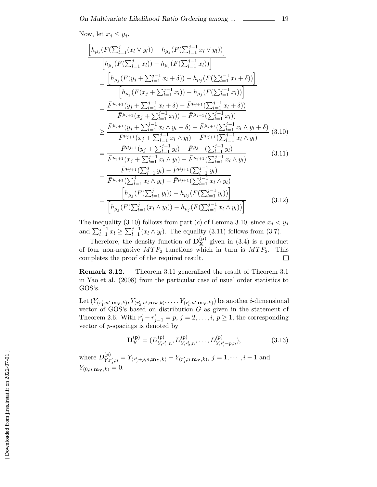Now, let  $x_j \leq y_j$ ,

$$
\begin{split}\n\left[h_{\mu_{j}}(F(\sum_{l=1}^{j}(x_{l} \vee y_{l})) - h_{\mu_{j}}(F(\sum_{l=1}^{j-1}x_{l} \vee y_{l}))\right] \\
&= \frac{\left[h_{\mu_{j}}(F(\sum_{l=1}^{j}x_{l})) - h_{\mu_{j}}(F(\sum_{l=1}^{j-1}x_{l}))\right]}{\left[h_{\mu_{j}}(F(y_{j} + \sum_{l=1}^{j-1}x_{l} + \delta)) - h_{\mu_{j}}(F(\sum_{l=1}^{j-1}x_{l} + \delta))\right]} \\
&= \frac{\left[\bar{h}_{\mu_{j}}(F(y_{j} + \sum_{l=1}^{j-1}x_{l})) - h_{\mu_{j}}(F(\sum_{l=1}^{j-1}x_{l}))\right]}{\left[\bar{h}_{\mu_{j}}(F(x_{j} + \sum_{l=1}^{j-1}x_{l})) - \bar{F}^{\mu_{j+1}}(\sum_{l=1}^{j-1}x_{l} + \delta)\right]} \\
&= \frac{\bar{F}^{\mu_{j+1}}(y_{j} + \sum_{l=1}^{j-1}x_{l}) - \bar{F}^{\mu_{j+1}}(\sum_{l=1}^{j-1}x_{l})}{\bar{F}^{\mu_{j+1}}(y_{j} + \sum_{l=1}^{j-1}x_{l} \wedge y_{l} + \delta) - \bar{F}^{\mu_{j+1}}(\sum_{l=1}^{j-1}x_{l} \wedge y_{l} + \delta)} \\
&= \frac{\bar{F}^{\mu_{j+1}}(y_{j} + \sum_{l=1}^{j-1}x_{l} \wedge y_{l}) - \bar{F}^{\mu_{j+1}}(\sum_{l=1}^{j-1}x_{l} \wedge y_{l})}{\bar{F}^{\mu_{j+1}}(x_{j} + \sum_{l=1}^{j-1}y_{l}) - \bar{F}^{\mu_{j+1}}(\sum_{l=1}^{j-1}y_{l})} \\
&= \frac{\bar{F}^{\mu_{j+1}}(y_{j} + \sum_{l=1}^{j-1}y_{l}) - \bar{F}^{\mu_{j+1}}(\sum_{l=1}^{j-1}y_{l})}{\bar{F}^{\mu_{j+1}}(\sum_{l=1}^{j-1}x_{l} \wedge y
$$

The inequality (3.10) follows from part (c) of Lemma 3.10, since  $x_j < y_j$ and  $\sum_{l=1}^{j-1} x_l \ge \sum_{l=1}^{j-1} (x_l \wedge y_l)$ . The equality (3.11) follows from (3.7).

Therefore, the density function of  $D_{\mathbf{X}}^{(p)}$  given in (3.4) is a product of four non-negative  $MTP_2$  functions which in turn is  $MTP_2$ . This completes the proof of the required result.  $\Box$ 

**Remark 3.12.** Theorem 3.11 generalized the result of Theorem 3.1 in Yao et al. (2008) from the particular case of usual order statistics to GOS's.

Let  $(Y_{(r'_1,n',m_{\mathbf{Y}},k)}, Y_{(r'_2,n',m_{\mathbf{Y}},k)},\ldots,Y_{(r'_i,n',m_{\mathbf{Y}},k)})$  be another *i*-dimensional vector of GOS's based on distribution G as given in the statement of Theorem 2.6. With  $r'_j - r'_{j-1} = p$ ,  $j = 2, ..., i, p \ge 1$ , the corresponding vector of a special signated by vector of p-spacings is denoted by

$$
\mathbf{D}_{\mathbf{Y}}^{(\mathbf{p})} = (D_{Y,r'_1,n}^{(p)}, D_{Y,r'_2,n}^{(p)}, \dots, D_{Y,r'_i-p,n}^{(p)}),
$$
\n(3.13)

where  $D_{Vx}^{(p)}$  $Y, r_j'$  $Y'_{j,n} = Y_{(r'_{j}+p,n,\mathbf{m}_{\mathbf{Y}},k)} - Y_{(r'_{j},n,\mathbf{m}_{\mathbf{Y}},k)}, j = 1, \cdots, i-1$  and  $Y_{(0,n,\mathbf{m_Y},k)} = 0.$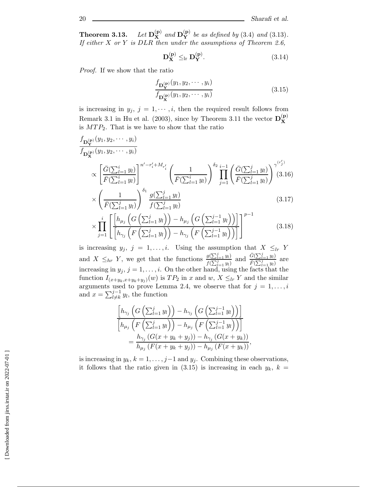**Theorem 3.13.**  $(\mathbf{P})$  *and*  $\mathbf{D}_{\mathbf{Y}}^{(\mathbf{p})}$  *be as defined by* (3.4) *and* (3.13)*. If either* X *or* Y *is* DLR *then under the assumptions of Theorem 2.6,*

$$
\mathbf{D}_{\mathbf{X}}^{(\mathbf{p})} \leq_{\mathrm{lr}} \mathbf{D}_{\mathbf{Y}}^{(\mathbf{p})}.
$$
 (3.14)

*Proof.* If we show that the ratio

$$
\frac{f_{\mathbf{D}_{\mathbf{Y}}^{(\mathbf{p})}}(y_1, y_2, \cdots, y_i)}{f_{\mathbf{D}_{\mathbf{X}}^{(\mathbf{p})}}(y_1, y_2, \cdots, y_i)}
$$
(3.15)

is increasing in  $y_j$ ,  $j = 1, \dots, i$ , then the required result follows from Remark 3.1 in Hu et al. (2003), since by Theorem 3.11 the vector  $D_{X}^{(p)}$ is  $MTP_2$ . That is we have to show that the ratio

$$
f_{\mathbf{D}_{\mathbf{X}}^{(\mathbf{p})}}(y_1, y_2, \cdots, y_i)
$$
\n
$$
f_{\mathbf{D}_{\mathbf{X}}^{(\mathbf{p})}}(y_1, y_2, \cdots, y_i)
$$
\n
$$
\propto \left[ \frac{\bar{G}(\sum_{l=1}^i y_l)}{\bar{F}(\sum_{l=1}^i y_l)} \right]^{n'-r'_i+M_{r'_i}} \left( \frac{1}{\bar{F}(\sum_{l=1}^i y_l)} \right)^{\delta_2} \prod_{j=1}^{i-1} \left( \frac{\bar{G}(\sum_{l=1}^j y_l)}{\bar{F}(\sum_{l=1}^j y_l)} \right)^{\gamma(r'_j)} (3.16)
$$
\n
$$
\times \left( \frac{1}{\bar{F}(\sum_{l=1}^j y_l)} \right)^{\delta_1} \frac{g(\sum_{l=1}^j y_l)}{f(\sum_{l=1}^j y_l)} \qquad (3.17)
$$
\n
$$
\vdots \left[ \left[ h_{\mu_i} \left( G \left( \sum_{l=1}^j y_l \right) \right) - h_{\mu_i} \left( G \left( \sum_{l=1}^{j-1} y_l \right) \right) \right] \right]^{p-1}
$$

$$
\times \prod_{j=1}^{i} \left[ \frac{\left[ h_{\mu_j} \left( G \left( \sum_{l=1}^{j} y_l \right) \right) - h_{\mu_j} \left( G \left( \sum_{l=1}^{j-1} y_l \right) \right) \right]}{\left[ h_{\gamma_j} \left( F \left( \sum_{l=1}^{j} y_l \right) \right) - h_{\gamma_j} \left( F \left( \sum_{l=1}^{j-1} y_l \right) \right) \right]} \right]^{p-1} \tag{3.18}
$$

is increasing  $y_j$ ,  $j = 1, \ldots, i$ . Using the assumption that  $X \leq_{lr} Y$ and  $X \leq_{hr} Y$ , we get that the functions  $\frac{g(\sum_{l=1}^{j} y_l)}{f(\sum_{l=1}^{j} y_l)}$  $f(\sum_{l}^{j})$  $\frac{\bar{G}(\sum_{l=1}^{j} y_l)}{\sum_{l=1}^{j} y_l}$  and  $\frac{\bar{G}(\sum_{l=1}^{j} y_l)}{\bar{F}(\sum_{l=1}^{j} y_l)}$  $\frac{\overline{G}(\sum_{l=1}^{j} y_l)}{\overline{F}(\sum_{l=1}^{j} y_l)}$  are increasing in  $y_j$ ,  $j = 1, \ldots, i$ . On the other hand, using the facts that the function  $I_{\text{c}}$  on  $f_{\text{c}}$  is  $T_i P_i$  in g and  $x_i$ .  $Y_i \subset Y$  and the similar function  $I_{(x+y_k,x+y_k+y_j)}(w)$  is  $TP_2$  in x and w,  $X \leq_{lr} Y$  and the similar arguments used to prove Lemma 2.4, we observe that for  $j = 1, \ldots, i$ and  $x = \sum_{l \neq k}^{j-1} y_l$ , the function

$$
\frac{\left[h_{\gamma_j}\left(G\left(\sum_{l=1}^j y_l\right)\right)-h_{\gamma_j}\left(G\left(\sum_{l=1}^{j-1} y_l\right)\right)\right]}{\left[h_{\mu_j}\left(F\left(\sum_{l=1}^j y_l\right)\right)-h_{\mu_j}\left(F\left(\sum_{l=1}^{j-1} y_l\right)\right)\right]} \\
=\frac{h_{\gamma_j}\left(G(x+y_k+y_j)\right)-h_{\gamma_j}\left(G(x+y_k)\right)}{h_{\mu_j}\left(F(x+y_k+y_j)\right)-h_{\mu_j}\left(F(x+y_k)\right)},
$$

is increasing in  $y_k$ ,  $k = 1, \ldots, j-1$  and  $y_j$ . Combining these observations, it follows that the ratio given in (3.15) is increasing in each  $y_k$ ,  $k =$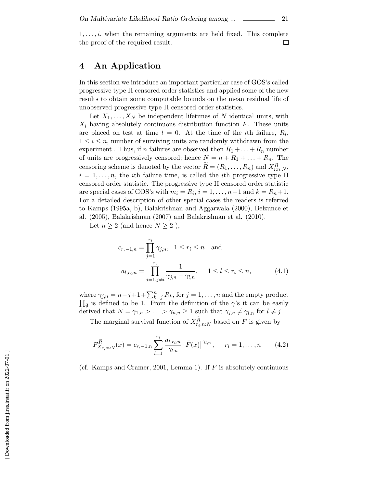$1, \ldots, i$ , when the remaining arguments are held fixed. This complete the proof of the required result.  $\Box$ 

## **4 An Application**

In this section we introduce an important particular case of GOS's called progressive type II censored order statistics and applied some of the new results to obtain some computable bounds on the mean residual life of unobserved progressive type II censored order statistics.

Let  $X_1, \ldots, X_N$  be independent lifetimes of N identical units, with  $X_i$  having absolutely continuous distribution function  $F$ . These units are placed on test at time  $t = 0$ . At the time of the *i*th failure,  $R_i$ ,  $1 \leq i \leq n$ , number of surviving units are randomly withdrawn from the experiment. Thus, if n failures are observed then  $R_1 + \ldots + R_n$  number of units are progressively censored; hence  $N = n + R_1 + \ldots + R_n$ . The censoring scheme is denoted by the vector  $R = (R_1, \ldots, R_n)$  and  $X_{i,n,N}^R$ ,<br> $i-1$ ,  $n$ , the *i*th failure time, is called the *i*th progressive type II  $i = 1, \ldots, n$ , the *i*th failure time, is called the *i*th progressive type II censored order statistic. The progressive type II censored order statistic are special cases of GOS's with  $m_i = R_i$ ,  $i = 1, \ldots, n-1$  and  $k = R_n + 1$ . For a detailed description of other special cases the readers is referred to Kamps (1995a, b), Balakrishnan and Aggarwala (2000), Belzunce et al. (2005), Balakrishnan (2007) and Balakrishnan et al. (2010).

Let  $n \geq 2$  (and hence  $N \geq 2$ ),

$$
c_{r_i-1,n} = \prod_{j=1}^{r_i} \gamma_{j,n}, \quad 1 \le r_i \le n \quad \text{and}
$$

$$
a_{l,r_i,n} = \prod_{j=1, j \ne l}^{r_i} \frac{1}{\gamma_{j,n} - \gamma_{l,n}}, \quad 1 \le l \le r_i \le n,
$$
(4.1)

where  $\gamma_{j,n} = n-j+1+\sum_{k=j}^{n} R_k$ , for  $j = 1, \ldots, n$  and the empty product  $\Pi_{\cdot}$  is defined to be 1. From the definition of the  $\alpha$ 's it can be easily  $\Pi_{\emptyset}$  is defined to be 1. From the definition of the  $\gamma$ 's it can be easily derived that  $N = \gamma_{1,n} > ... > \gamma_{n,n} \ge 1$  such that  $\gamma_{j,n} \neq \gamma_{l,n}$  for  $l \neq j$ .

The marginal survival function of  $X_{r_i:n:N}^R$  based on F is given by

$$
F_{X_{r_i:n:N}}^{\tilde{R}}(x) = c_{r_i-1,n} \sum_{l=1}^{r_i} \frac{a_{l,r_i,n}}{\gamma_{l,n}} \left[ \bar{F}(x) \right]^{\gamma_{l,n}}, \quad r_i = 1, \dots, n \quad (4.2)
$$

(cf. Kamps and Cramer, 2001, Lemma 1). If  $F$  is absolutely continuous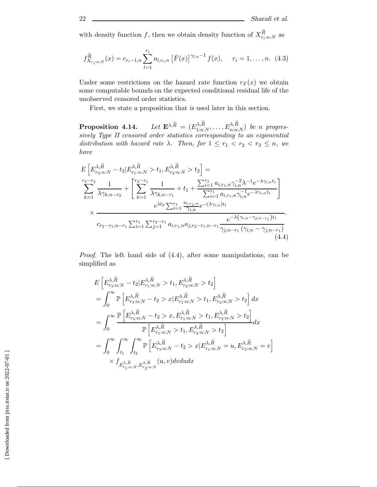with density function  $f$ , then we obtain density function of  $X_{r_i:n:N}^R$  as

$$
f_{X_{r_i:n:N}}^{\tilde{R}}(x) = c_{r_i-1,n} \sum_{l=1}^{r_i} a_{l,r_i,n} \left[ \bar{F}(x) \right]^{\gamma_{l,n}-1} f(x), \quad r_i = 1, \dots, n. \tag{4.3}
$$

Under some restrictions on the hazard rate function  $r_F(x)$  we obtain some computable bounds on the expected conditional residual life of the unobserved censored order statistics.

First, we state a proposition that is used later in this section.

**Proposition 4.14.** *Let*  $\mathbf{E}^{\lambda,\overline{R}} = (E_{1:n:N}^{\lambda,R}, \dots, E_{n:n:N}^{\lambda,R})$  *be n progres-sively Type II censored order statistics corresponding to an exponential distribution with hazard rate*  $\lambda$ *. Then, for*  $1 \leq r_1 < r_2 < r_3 \leq n$ *, we have*

$$
E\left[E_{r_3:n:N}^{\lambda,\tilde{R}} - t_2 | E_{r_1:n:N}^{\lambda,\tilde{R}} > t_1, E_{r_2:n:N}^{\lambda,\tilde{R}} > t_2\right] =
$$
  
\n
$$
\sum_{k=1}^{r_3-r_2} \frac{1}{\lambda \gamma_{k,n-r_2}} + \left[\sum_{k=1}^{r_2-r_1} \frac{1}{\lambda \gamma_{k,n-r_1}} + t_1 + \frac{\sum_{i=1}^{r_1} a_{i,r_1,n} \gamma_{i,n}^{-2} \lambda^{-1} e^{-\lambda \gamma_{i,n} t_1}}{\sum_{i=1}^{r_1} a_{i,r_1,n} \gamma_{i,n}^{-1} e^{-\lambda \gamma_{i,n} t_1}}\right]
$$
  
\n
$$
\times \frac{e^{\lambda t_2} \sum_{i=1}^{r_1} \frac{a_{i,r_1,n}}{\gamma_{i,n}} e^{-(\lambda \gamma_{i,n}) t_1}}{e^{-\lambda (\gamma_{i,n}-\gamma_{j,n-r_1}) t_1}}.
$$
  
\n
$$
c_{r_2-r_1,n-r_1} \sum_{i=1}^{r_1} \sum_{j=1}^{r_2-r_1} a_{i,r_1,n} a_{j,r_2-r_1,n-r_1} \frac{e^{-\lambda (\gamma_{i,n}-\gamma_{j,n-r_1}) t_1}}{\gamma_{j,n-r_1} (\gamma_{i,n}-\gamma_{j,n-r_1})}.
$$
  
\n(4.4)

*Proof.* The left hand side of (4.4), after some manipulations, can be simplified as

$$
E\left[E_{r_3:n:N}^{\lambda,\tilde{R}} - t_2 | E_{r_1:n:N}^{\lambda,\tilde{R}} > t_1, E_{r_2:n:N}^{\lambda,\tilde{R}} > t_2\right]
$$
  
\n
$$
= \int_0^\infty \mathbb{P}\left[E_{r_3:n:N}^{\lambda,\tilde{R}} - t_2 > x | E_{r_1:n:N}^{\lambda,\tilde{R}} > t_1, E_{r_2:n:N}^{\lambda,\tilde{R}} > t_2\right] dx
$$
  
\n
$$
= \int_0^\infty \frac{\mathbb{P}\left[E_{r_3:n:N}^{\lambda,\tilde{R}} - t_2 > x, E_{r_1:n:N}^{\lambda,\tilde{R}} > t_1, E_{r_2:n:N}^{\lambda,\tilde{R}} > t_2\right]}{\mathbb{P}\left[E_{r_1:n:N}^{\lambda,\tilde{R}} > t_1, E_{r_2:n:N}^{\lambda,\tilde{R}} > t_2\right]} dx
$$
  
\n
$$
= \int_0^\infty \int_{t_1}^\infty \int_{t_2}^\infty \mathbb{P}\left[E_{r_3:n:N}^{\lambda,\tilde{R}} - t_2 > x | E_{r_1:n:N}^{\lambda,\tilde{R}} = u, E_{r_2:n:N}^{\lambda,\tilde{R}} = v\right]
$$
  
\n
$$
\times f_{E_{r_1:n:N}^{\lambda,\tilde{R}}, E_{r_2:n:N}^{\lambda,\tilde{R}}}(u, v) dv du dx
$$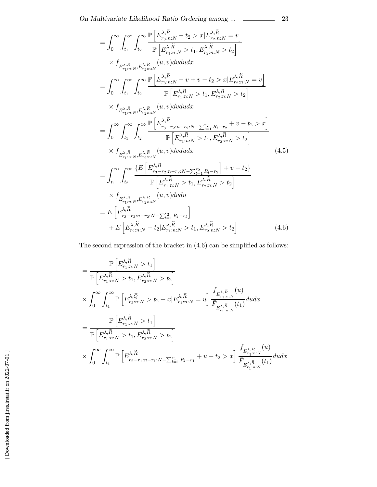$$
= \int_{0}^{\infty} \int_{t_1}^{\infty} \int_{t_2}^{\infty} \frac{\mathbb{P}\left[E_{r_3:n:N}^{\lambda,\tilde{R}} - t_2 > x | E_{r_2:n:N}^{\lambda,\tilde{R}} = v\right]}{\mathbb{P}\left[E_{r_1:n:N}^{\lambda,\tilde{R}} > t_1, E_{r_2:n:N}^{\lambda,\tilde{R}} > t_2\right]} \times f_{E_{r_1:n:N}^{\lambda,\tilde{R}},E_{r_2:n:N}^{\lambda,\tilde{R}}}(u,v)dvdudx \n= \int_{0}^{\infty} \int_{t_1}^{\infty} \int_{t_2}^{\infty} \frac{\mathbb{P}\left[E_{r_3:n:N}^{\lambda,\tilde{R}} - v + v - t_2 > x | E_{r_2:n:N}^{\lambda,\tilde{R}} = v\right]}{\mathbb{P}\left[E_{r_1:n:N}^{\lambda,\tilde{R}} > t_1, E_{r_2:n:N}^{\lambda,\tilde{R}} > t_2\right]} \times f_{E_{r_1:n:N}^{\lambda,\tilde{R}},E_{r_2:n:N}^{\lambda,\tilde{R}}}(u,v)dvdudx \n= \int_{0}^{\infty} \int_{t_1}^{\infty} \int_{t_2}^{\infty} \frac{\mathbb{P}\left[E_{r_3-r_2:n-r_2:N-\sum_{l=1}^{r_2} R_l-r_2} + v - t_2 > x\right]}{\mathbb{P}\left[E_{r_1:n:N}^{\lambda,\tilde{R}} > t_1, E_{r_2:n:N}^{\lambda,\tilde{R}} > t_2\right]} \times f_{E_{r_1:n:N}^{\lambda,\tilde{R}},E_{r_2:n:N}^{\lambda,\tilde{R}}}(u,v)dvdudx \qquad (4.5) \n= \int_{t_1}^{\infty} \int_{t_2}^{\infty} \frac{\left\{E\left[E_{r_3-r_2:n-r_2:N-\sum_{l=1}^{r_2} R_l-r_2}\right] + v - t_2\right\}}{\mathbb{P}\left[E_{r_1:n:N}^{\lambda,\tilde{R}} > t_1, E_{r_2:n:N}^{\lambda,\tilde{R}} > t_2\right]} \times f_{E_{r_1:n:N}^{\lambda,\tilde{R}},E_{r_2:n:N}^{\lambda,\tilde{R
$$

The second expression of the bracket in (4.6) can be simplified as follows:

$$
= \frac{\mathbb{P}\left[E_{r_1:n:N}^{\lambda,\tilde{R}}>t_1\right]}{\mathbb{P}\left[E_{r_1:n:N}^{\lambda,\tilde{R}}>t_1, E_{r_2:n:N}^{\lambda,\tilde{R}}>t_2\right]}
$$
  

$$
\times \int_0^\infty \int_{t_1}^\infty \mathbb{P}\left[E_{r_2:n:N}^{\lambda,\tilde{Q}} > t_2 + x | E_{r_1:n:N}^{\lambda,\tilde{R}} = u\right] \frac{f_{E_{r_1:n:N}^{\lambda,\tilde{R}}}(u)}{\bar{F}_{E_{r_1:n:N}^{\lambda,\tilde{R}}}(t_1)} du dx
$$
  

$$
= \frac{\mathbb{P}\left[E_{r_1:n:N}^{\lambda,\tilde{R}} > t_1\right]}{\mathbb{P}\left[E_{r_1:n:N}^{\lambda,\tilde{R}} > t_1, E_{r_2:n:N}^{\lambda,\tilde{R}} > t_2\right]}
$$
  

$$
\times \int_0^\infty \int_{t_1}^\infty \mathbb{P}\left[E_{r_2-r_1:n-r_1:N-\sum_{l=1}^{r_1} R_l-r_1}^{\lambda,\tilde{R}} + u - t_2 > x\right] \frac{f_{E_{r_1:n:N}^{\lambda,\tilde{R}}}(u)}{\bar{F}_{E_{r_1:n:N}^{\lambda,\tilde{R}}}(t_1)} du dx
$$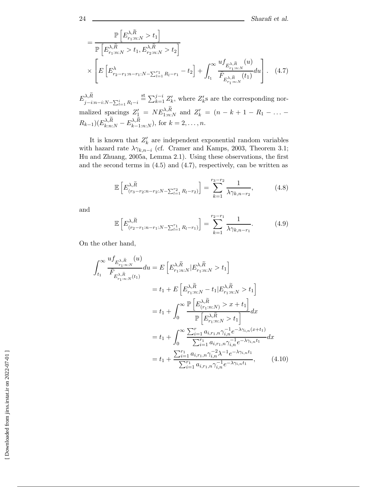$$
= \frac{\mathbb{P}\left[E_{r_1:n:N}^{\lambda,\tilde{R}} > t_1\right]}{\mathbb{P}\left[E_{r_1:n:N}^{\lambda,\tilde{R}} > t_1, E_{r_2:n:N}^{\lambda,\tilde{R}} > t_2\right]}
$$

$$
\times \left[E\left[E_{r_2-r_1:n-r_1:N-\sum_{l=1}^{r_1} R_l-r_1}^{\lambda} - t_2\right] + \int_{t_1}^{\infty} \frac{u f_{E_{r_1:n:N}^{\lambda,\tilde{R}}}(u)}{\bar{F}_{E_{r_1:n:N}^{\lambda,\tilde{R}}}(t_1)} du\right].
$$
 (4.7)

 $E^{\lambda,R}_{j-i:n-i:N-\sum_{l}^{i}}$  $l=1$   $R_l-i$  $\stackrel{\text{st}}{=} \sum_{k=1}^{j-i} Z'_k$ , where  $Z'_k$ s are the corresponding normalized spacings  $Z'_1 = NE^{\lambda,R}_{1:n:N}$  and  $Z'_k = (n-k+1-R_1-\dots-R_k)$  $R_{k-1}(E_{k:n:N}^{\lambda,R}-E_{k-1:n:N}^{\lambda,R}),$  for  $k=2,\ldots,n$ .

It is known that  $Z'_k$  are independent exponential random variables<br>h hazard rate  $\lambda \alpha$ ... (cf. Cramer and Kamps, 2003, Theorem 3.1; with hazard rate  $\lambda \gamma_{k,n-i}$  (cf. Cramer and Kamps, 2003, Theorem 3.1; Hu and Zhuang, 2005a, Lemma 2.1). Using these observations, the first and the second terms in  $(4.5)$  and  $(4.7)$ , respectively, can be written as

$$
\mathbb{E}\left[E_{(r_3-r_2:n-r_2:N-\sum_{l=1}^{r_2}R_l-r_2)}^{(\lambda,\widetilde{R})}\right]=\sum_{k=1}^{r_3-r_2}\frac{1}{\lambda\gamma_{k,n-r_2}},\qquad(4.8)
$$

and

$$
\mathbb{E}\left[E_{(r_2-r_1:n-r_1:N-\sum_{l=1}^{r_1}R_l-r_1)}^{ \lambda_{\tilde{R}_l}}\right] = \sum_{k=1}^{r_2-r_1} \frac{1}{\lambda \gamma_{k,n-r_1}}.
$$
 (4.9)

On the other hand,  
\n
$$
\int_{t_1}^{\infty} \frac{u f_{F_{r_1:n:N}^{\lambda,\tilde{R}}}(u)}{\bar{F}_{E_{r_1:n:N}^{\lambda,\tilde{R}}}(t_1)} du = E \left[ E_{r_1:n:N}^{\lambda,\tilde{R}} | E_{r_1:n:N}^{\lambda,\tilde{R}} > t_1 \right]
$$
\n
$$
= t_1 + E \left[ E_{r_1:n:N}^{\lambda,\tilde{R}} - t_1 | E_{r_1:n:N}^{\lambda,\tilde{R}} > t_1 \right]
$$
\n
$$
= t_1 + \int_0^{\infty} \frac{\mathbb{P} \left[ E_{(r_1:n:N)}^{\lambda,\tilde{R}} > x + t_1 \right]}{\mathbb{P} \left[ E_{r_1:n:N}^{\lambda,\tilde{R}} > t_1 \right]} dx
$$
\n
$$
= t_1 + \int_0^{\infty} \frac{\sum_{i=1}^r a_{i,r_1,n} \gamma_{i,n}^{-1} e^{-\lambda \gamma_{i,n}(x+t_1)}}{\sum_{i=1}^r a_{i,r_1,n} \gamma_{i,n}^{-1} e^{-\lambda \gamma_{i,n}t_1}} dx
$$
\n
$$
= t_1 + \frac{\sum_{i=1}^{r_1} a_{i,r_1,n} \gamma_{i,n}^{-2} \lambda^{-1} e^{-\lambda \gamma_{i,n}t_1}}{\sum_{i=1}^{r_1} a_{i,r_1,n} \gamma_{i,n}^{-1} e^{-\lambda \gamma_{i,n}t_1}}, \qquad (4.10)
$$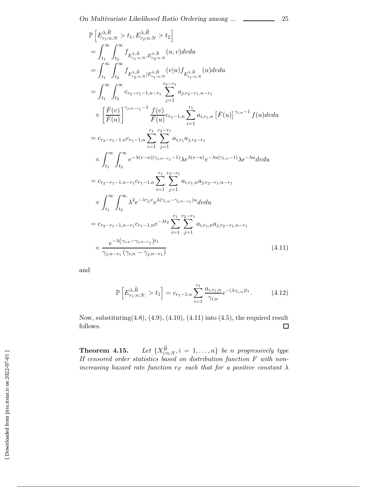$$
\mathbb{P}\left[E_{r_{1}:n:N}^{\lambda,\tilde{R}} > t_{1}, E_{r_{2}:n:N}^{\lambda,\tilde{R}} > t_{2}\right]
$$
\n
$$
= \int_{t_{1}}^{\infty} \int_{t_{2}}^{\infty} f_{E_{r_{1}:n:N}^{\lambda,\tilde{R}},E_{r_{2}:n:N}^{\lambda,\tilde{R}}}(u,v)dvdu
$$
\n
$$
= \int_{t_{1}}^{\infty} \int_{t_{2}}^{\infty} f_{E_{r_{2}:n:N}^{\lambda,\tilde{R}},E_{r_{1}:n:N}^{\lambda,\tilde{R}}}(v|u) f_{E_{r_{1}:n:N}^{\lambda,\tilde{R}}}(u)dvdu
$$
\n
$$
= \int_{t_{1}}^{\infty} \int_{t_{2}}^{\infty} c_{r_{2}-r_{1}-1,n-r_{1}} \sum_{j=1}^{r_{2}-r_{1}} a_{j,r_{2}-r_{1},n-r_{1}}
$$
\n
$$
\times \left[\frac{\bar{F}(v)}{\bar{F}(u)}\right]^{\gamma_{j,n-r_{1}}-1} \frac{f(v)}{\bar{F}(u)} c_{r_{1}-1,n} \sum_{i=1}^{r_{1}} a_{i,r_{1},n} \left[\bar{F}(u)\right]^{\gamma_{i,n}-1} f(u)dvdu
$$
\n
$$
= c_{r_{2}-r_{1}-1,n} c_{r_{1}-1,n} \sum_{i=1}^{r_{1}} \sum_{j=1}^{r_{2}-r_{1}} a_{i,r_{1}} a_{j,r_{2}-r_{1}}
$$
\n
$$
\times \int_{t_{1}}^{\infty} \int_{t_{2}}^{\infty} e^{-\lambda(v-u)(\gamma_{j,n}-r_{1}-1)} \lambda e^{\lambda(v-u)} e^{-\lambda u(\gamma_{i,n}-1)} \lambda e^{-\lambda u}dvdu
$$
\n
$$
= c_{r_{2}-r_{1}-1,n-r_{1}} c_{r_{1}-1,n} \sum_{i=1}^{r_{1}} \sum_{j=1}^{r_{2}-r_{1}} a_{i,r_{1},n} a_{j,r_{2}-r_{1},n-r_{1}}
$$
\n
$$
\times \int_{t_{1}}^{\infty} \int_{t_{2}}^{\infty} \lambda^{2} e^{-\lambda \gamma_{j} v} e^{\lambda(\gamma_{i,n}-\gamma_{j,n}-r_{1})u} dvdu
$$
\n

and

$$
\mathbb{P}\left[E_{r_1:n:N:}^{\lambda,\tilde{R}} > t_1\right] = c_{r_1-1,n} \sum_{i=1}^{r_1} \frac{a_{i,r_1,n}}{\gamma_{i,n}} e^{-(\lambda \gamma_{i,n})t_1}.
$$
 (4.12)

Now, substituting $(4.8)$ ,  $(4.9)$ ,  $(4.10)$ ,  $(4.11)$  into  $(4.5)$ , the required result follows.  $\Box$ 

**Theorem 4.15.** Let  $\{X_{i:n:N}^{\overline{R}}, i = 1, ..., n\}$  be *n progressively type II* censored order statistics based on distribution function *F* with non*increasing hazard rate function*  $r_F$  *such that for a positive constant*  $\lambda$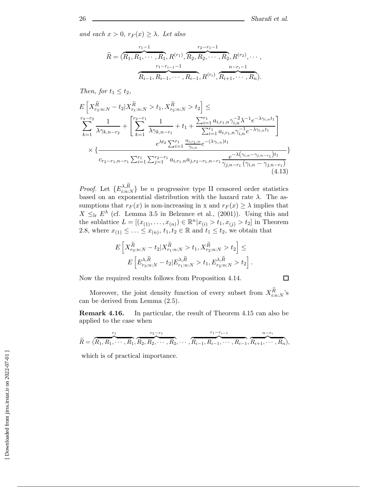*and each*  $x > 0$ ,  $r_F(x) \geq \lambda$ *. Let also* 

$$
\widetilde{R} = (\overbrace{R_1, R_1, \cdots, R_1}^{r_1-1}, R^{(r_1)}, \overbrace{R_2, R_2, \cdots, R_2}^{r_2-r_1-1}, R^{(r_2)}, \cdots, R_{r_1-r_{r-1}-1}^{r_{r-1}-1}
$$
\n
$$
\overbrace{R_{i-1}, R_{i-1}, \cdots, R_{i-1}, R^{(r_i)}, R_{i+1}, \cdots, R_n}^{n-r_i-1}.
$$

*Then, for*  $t_1 \leq t_2$ *,* 

$$
E\left[X_{r_3:n:N}^{\tilde{R}} - t_2|X_{r_1:n:N}^{\tilde{R}} > t_1, X_{r_2:n:N}^{\tilde{R}} > t_2\right] \le
$$
  
\n
$$
\sum_{k=1}^{r_3-r_2} \frac{1}{\lambda \gamma_{k,n-r_2}} + \left[\sum_{k=1}^{r_2-r_1} \frac{1}{\lambda \gamma_{k,n-r_1}} + t_1 + \frac{\sum_{i=1}^{r_1} a_{i,r_1,n} \gamma_{i,n}^{-2} \lambda^{-1} e^{-\lambda \gamma_{i,n} t_1}}{\sum_{i=1}^{r_1} a_{i,r_1,n} \gamma_{i,n}^{-1} e^{-\lambda \gamma_{i,n} t_1}}\right]
$$
  
\n
$$
\times \left\{\frac{e^{\lambda t_2} \sum_{i=1}^{r_1} \frac{a_{i,r_1,n}}{\gamma_{i,n}} e^{-(\lambda \gamma_{i,n}) t_1}}{e^{-\lambda (\gamma_{i,n}-\gamma_{j,n-r_1}) t_1}}\right\}
$$
  
\n
$$
c_{r_2-r_1,n-r_1} \sum_{i=1}^{r_1} \sum_{j=1}^{r_2-r_1} a_{i,r_1,n} a_{j,r_2-r_1,n-r_1} \frac{e^{-\lambda (\gamma_{i,n}-\gamma_{j,n-r_1}) t_1}}{\gamma_{j,n-r_1} (\gamma_{i,n}-\gamma_{j,n-r_1})}
$$
  
\n(4.13)

*Proof.* Let  $\{E_{i:n:N}^{\lambda,R}\}$  be *n* progressive type II censored order statistics based on an exponential distribution with the hazard rate  $\lambda$ . The asbased on an exponential distribution with the hazard rate  $\lambda$ . The assumptions that  $r_F(x)$  is non-increasing in x and  $r_F(x) \geq \lambda$  implies that  $X \leq_{\text{lr}} E^{\lambda}$  (cf. Lemma 3.5 in Belzunce et al., (2001)). Using this and the sublattice  $L = [(x_{(1)},...,x_{(n)}) \in \mathbb{R}^n | x_{(i)} > t_1, x_{(j)} > t_2]$  in Theorem 2.8, where  $x_{(1)} \leq \ldots \leq x_{(n)}$ ,  $t_1, t_2 \in \mathbb{R}$  and  $t_1 \leq t_2$ , we obtain that

$$
E\left[X_{r_3:n:N}^{\widetilde{R}} - t_2 | X_{r_1:n:N}^{\widetilde{R}} > t_1, X_{r_2:n:N}^{\widetilde{R}} > t_2\right] \le
$$
  

$$
E\left[E_{r_3:n:N}^{\lambda, \widetilde{R}} - t_2 | E_{r_1:n:N}^{\lambda, \widetilde{R}} > t_1, E_{r_2:n:N}^{\lambda, \widetilde{R}} > t_2\right].
$$

Now the required results follows from Proposition 4.14.

 $\Box$ 

Moreover, the joint density function of every subset from  $X_{i:n:N}^R$ 's<br>be derived from Lemma (2.5) can be derived from Lemma (2.5).

**Remark 4.16.** In particular, the result of Theorem 4.15 can also be applied to the case when

$$
\widetilde{R} = (\overbrace{R_1, R_1, \cdots, R_1}^{r_1}, \overbrace{R_2, R_2, \cdots, R_2}^{r_2 - r_1}, \cdots, \overbrace{R_{i-1}, R_{i-1}, \cdots, R_{i-1}}^{r_1 - r_{i-1}}, \overbrace{R_{i+1}, \cdots, R_n}^{n - r_i}),
$$

which is of practical importance.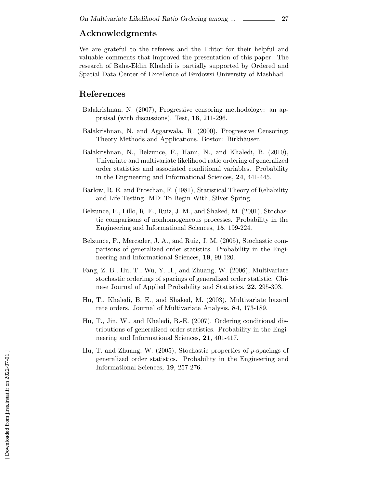## **Acknowledgments**

We are grateful to the referees and the Editor for their helpful and valuable comments that improved the presentation of this paper. The research of Baha-Eldin Khaledi is partially supported by Ordered and Spatial Data Center of Excellence of Ferdowsi University of Mashhad.

### **References**

- Balakrishnan, N. (2007), Progressive censoring methodology: an appraisal (with discussions). Test, **16**, 211-296.
- Balakrishnan, N. and Aggarwala, R. (2000), Progressive Censoring: Theory Methods and Applications. Boston: Birkhäuser.
- Balakrishnan, N., Belzunce, F., Hami, N., and Khaledi, B. (2010), Univariate and multivariate likelihood ratio ordering of generalized order statistics and associated conditional variables. Probability in the Engineering and Informational Sciences, **24**, 441-445.
- Barlow, R. E. and Proschan, F. (1981), Statistical Theory of Reliability and Life Testing. MD: To Begin With, Silver Spring.
- Belzunce, F., Lillo, R. E., Ruiz, J. M., and Shaked, M. (2001), Stochastic comparisons of nonhomogeneous processes. Probability in the Engineering and Informational Sciences, **15**, 199-224.
- Belzunce, F., Mercader, J. A., and Ruiz, J. M. (2005), Stochastic comparisons of generalized order statistics. Probability in the Engineering and Informational Sciences, **19**, 99-120.
- Fang, Z. B., Hu, T., Wu, Y. H., and Zhuang, W. (2006), Multivariate stochastic orderings of spacings of generalized order statistic. Chinese Journal of Applied Probability and Statistics, **22**, 295-303.
- Hu, T., Khaledi, B. E., and Shaked, M. (2003), Multivariate hazard rate orders. Journal of Multivariate Analysis, **84**, 173-189.
- Hu, T., Jin, W., and Khaledi, B.-E. (2007), Ordering conditional distributions of generalized order statistics. Probability in the Engineering and Informational Sciences, **21**, 401-417.
- Hu, T. and Zhuang, W. (2005), Stochastic properties of p-spacings of generalized order statistics. Probability in the Engineering and Informational Sciences, **19**, 257-276.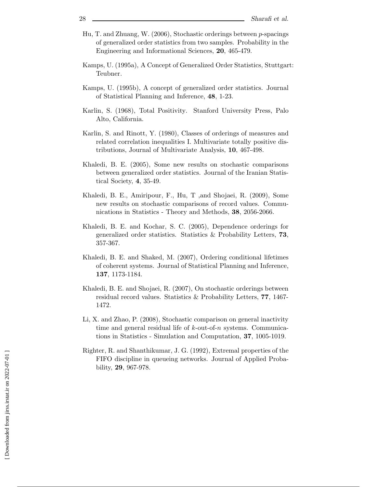- Hu, T. and Zhuang, W. (2006), Stochastic orderings between p-spacings of generalized order statistics from two samples. Probability in the Engineering and Informational Sciences, **20**, 465-479.
- Kamps, U. (1995a), A Concept of Generalized Order Statistics, Stuttgart: Teubner.
- Kamps, U. (1995b), A concept of generalized order statistics. Journal of Statistical Planning and Inference, **48**, 1-23.
- Karlin, S. (1968), Total Positivity. Stanford University Press, Palo Alto, California.
- Karlin, S. and Rinott, Y. (1980), Classes of orderings of measures and related correlation inequalities I. Multivariate totally positive distributions, Journal of Multivariate Analysis, **10**, 467-498.
- Khaledi, B. E. (2005), Some new results on stochastic comparisons between generalized order statistics. Journal of the Iranian Statistical Society, **4**, 35-49.
- Khaledi, B. E., Amiripour, F., Hu, T ,and Shojaei, R. (2009), Some new results on stochastic comparisons of record values. Communications in Statistics - Theory and Methods, **38**, 2056-2066.
- Khaledi, B. E. and Kochar, S. C. (2005), Dependence orderings for generalized order statistics. Statistics & Probability Letters, **73**, 357-367.
- Khaledi, B. E. and Shaked, M. (2007), Ordering conditional lifetimes of coherent systems. Journal of Statistical Planning and Inference, **137**, 1173-1184.
- Khaledi, B. E. and Shojaei, R. (2007), On stochastic orderings between residual record values. Statistics & Probability Letters, **77**, 1467- 1472.
- Li, X. and Zhao, P. (2008), Stochastic comparison on general inactivity time and general residual life of  $k$ -out-of-n systems. Communications in Statistics - Simulation and Computation, **37**, 1005-1019.
- Righter, R. and Shanthikumar, J. G. (1992), Extremal properties of the FIFO discipline in queueing networks. Journal of Applied Probability, **29**, 967-978.